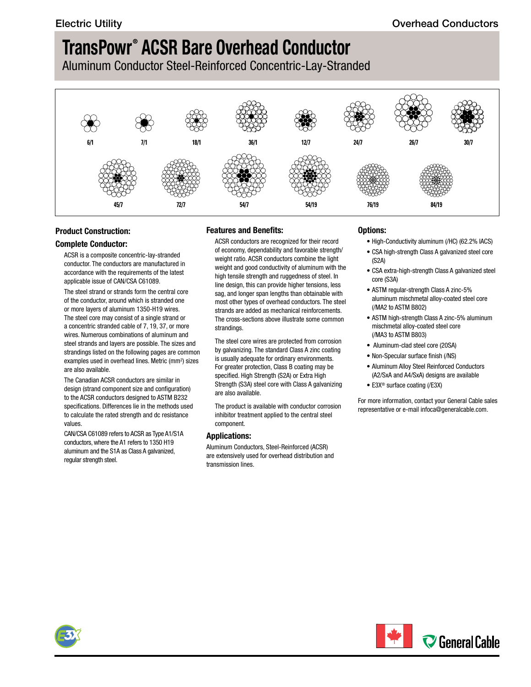Aluminum Conductor Steel-Reinforced Concentric-Lay-Stranded



### **Product Construction:**

### **Complete Conductor:**

ACSR is a composite concentric-lay-stranded conductor. The conductors are manufactured in accordance with the requirements of the latest applicable issue of CAN/CSA C61089.

The steel strand or strands form the central core of the conductor, around which is stranded one or more layers of aluminum 1350-H19 wires. The steel core may consist of a single strand or a concentric stranded cable of 7, 19, 37, or more wires. Numerous combinations of aluminum and steel strands and layers are possible. The sizes and strandings listed on the following pages are common examples used in overhead lines. Metric (mm<sup>2</sup>) sizes are also available.

The Canadian ACSR conductors are similar in design (strand component size and configuration) to the ACSR conductors designed to ASTM B232 specifications. Differences lie in the methods used to calculate the rated strength and dc resistance values.

CAN/CSA C61089 refers to ACSR as Type A1/S1A conductors, where the A1 refers to 1350 H19 aluminum and the S1A as Class A galvanized, regular strength steel.

### **Features and Benefits:**

ACSR conductors are recognized for their record of economy, dependability and favorable strength/ weight ratio. ACSR conductors combine the light weight and good conductivity of aluminum with the high tensile strength and ruggedness of steel. In line design, this can provide higher tensions, less sag, and longer span lengths than obtainable with most other types of overhead conductors. The steel strands are added as mechanical reinforcements. The cross-sections above illustrate some common strandings.

The steel core wires are protected from corrosion by galvanizing. The standard Class A zinc coating is usually adequate for ordinary environments. For greater protection, Class B coating may be specified. High Strength (S2A) or Extra High Strength (S3A) steel core with Class A galvanizing are also available.

The product is available with conductor corrosion inhibitor treatment applied to the central steel component.

### **Applications:**

Aluminum Conductors, Steel-Reinforced (ACSR) are extensively used for overhead distribution and transmission lines.

### **Options:**

- High-Conductivity aluminum (/HC) (62.2% IACS)
- CSA high-strength Class A galvanized steel core (S2A)
- CSA extra-high-strength Class A galvanized steel core (S3A)
- ASTM regular-strength Class A zinc-5% aluminum mischmetal alloy-coated steel core (/MA2 to ASTM B802)
- ASTM high-strength Class A zinc-5% aluminum mischmetal alloy-coated steel core (/MA3 to ASTM B803)
- Aluminum-clad steel core (20SA)
- Non-Specular surface finish (/NS)
- Aluminum Alloy Steel Reinforced Conductors (A2/SxA and A4/SxA) designs are available
- E3X® surface coating (/E3X)

For more information, contact your General Cable sales representative or e-mail [infoca@generalcable.com.](mailto:infoca@generalcable.com)

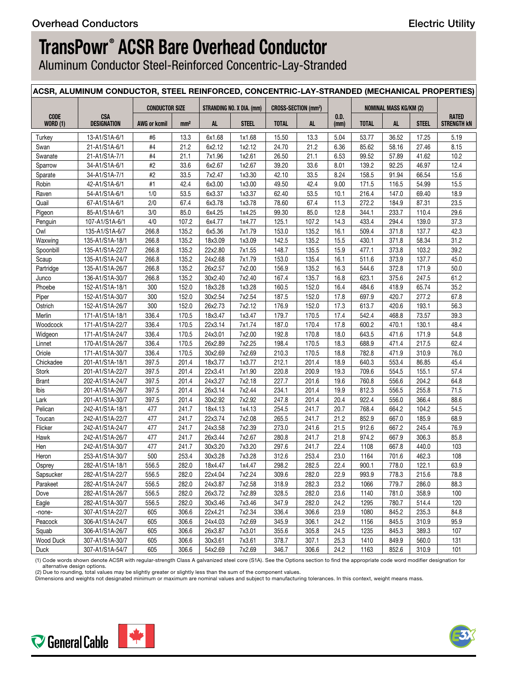Aluminum Conductor Steel-Reinforced Concentric-Lay-Stranded

|                         | ACSR, ALUMINUM CONDUCTOR, STEEL REINFORCED, CONCENTRIC-LAY-STRANDED (MECHANICAL PROPERTIES) |                       |                 |           |                           |                                       |           |              |                |                               |              |                                    |
|-------------------------|---------------------------------------------------------------------------------------------|-----------------------|-----------------|-----------|---------------------------|---------------------------------------|-----------|--------------|----------------|-------------------------------|--------------|------------------------------------|
|                         |                                                                                             | <b>CONDUCTOR SIZE</b> |                 |           | STRANDING NO. X DIA. (mm) | <b>CROSS-SECTION (mm<sup>2</sup>)</b> |           |              |                | <b>NOMINAL MASS KG/KM (2)</b> |              |                                    |
| CODE<br><b>WORD (1)</b> | <b>CSA</b><br><b>DESIGNATION</b>                                                            | <b>AWG or kcmil</b>   | mm <sup>2</sup> | <b>AL</b> | <b>STEEL</b>              | <b>TOTAL</b>                          | <b>AL</b> | 0.D.<br>(mm) | <b>TOTAL</b>   | <b>AL</b>                     | <b>STEEL</b> | <b>RATED</b><br><b>STRENGTH KN</b> |
| Turkey                  | 13-A1/S1A-6/1                                                                               | #6                    | 13.3            | 6x1.68    | 1x1.68                    | 15.50                                 | 13.3      | 5.04         | 53.77          | 36.52                         | 17.25        | 5.19                               |
| Swan                    | 21-A1/S1A-6/1                                                                               | #4                    | 21.2            | 6x2.12    | 1x2.12                    | 24.70                                 | 21.2      | 6.36         | 85.62          | 58.16                         | 27.46        | 8.15                               |
| Swanate                 | 21-A1/S1A-7/1                                                                               | #4                    | 21.1            | 7x1.96    | 1x2.61                    | 26.50                                 | 21.1      | 6.53         | 99.52          | 57.89                         | 41.62        | 10.2                               |
| Sparrow                 | 34-A1/S1A-6/1                                                                               | #2                    | 33.6            | 6x2.67    | 1x2.67                    | 39.20                                 | 33.6      | 8.01         | 139.2          | 92.25                         | 46.97        | 12.4                               |
| Sparate                 | 34-A1/S1A-7/1                                                                               | #2                    | 33.5            | 7x2.47    | 1x3.30                    | 42.10                                 | 33.5      | 8.24         | 158.5          | 91.94                         | 66.54        | 15.6                               |
| Robin                   | 42-A1/S1A-6/1                                                                               | #1                    | 42.4            | 6x3.00    | 1x3.00                    | 49.50                                 | 42.4      | 9.00         | 171.5          | 116.5                         | 54.99        | 15.5                               |
| Raven                   | 54-A1/S1A-6/1                                                                               | 1/0                   | 53.5            | 6x3.37    | 1x3.37                    | 62.40                                 | 53.5      | 10.1         | 216.4          | 147.0                         | 69.40        | 18.9                               |
| Quail                   | 67-A1/S1A-6/1                                                                               | 2/0                   | 67.4            | 6x3.78    | 1x3.78                    | 78.60                                 | 67.4      | 11.3         | 272.2          | 184.9                         | 87.31        | 23.5                               |
| Pigeon                  | 85-A1/S1A-6/1                                                                               | 3/0                   | 85.0            | 6x4.25    | 1x4.25                    | 99.30                                 | 85.0      | 12.8         | 344.1          | 233.7                         | 110.4        | 29.6                               |
| Penguin                 | 107-A1/S1A-6/1                                                                              | 4/0                   | 107.2           | 6x4.77    | 1x4.77                    | 125.1                                 | 107.2     | 14.3         | 433.4          | 294.4                         | 139.0        | 37.3                               |
| Owl                     | 135-A1/S1A-6/7                                                                              | 266.8                 | 135.2           | 6x5.36    | 7x1.79                    | 153.0                                 | 135.2     | 16.1         | 509.4          | 371.8                         | 137.7        | 42.3                               |
| Waxwing                 | 135-A1/S1A-18/1                                                                             | 266.8                 | 135.2           | 18x3.09   | 1x3.09                    | 142.5                                 | 135.2     | 15.5         | 430.1          | 371.8                         | 58.34        | 31.2                               |
| Spoonbill               | 135-A1/S1A-22/7                                                                             | 266.8                 | 135.2           | 22x2.80   | 7x1.55                    | 148.7                                 | 135.5     | 15.9         | 477.1          | 373.8                         | 103.2        | 39.2                               |
| Scaup                   | 135-A1/S1A-24/7                                                                             | 266.8                 | 135.2           | 24x2.68   |                           | 153.0                                 | 135.4     | 16.1         | 511.6          | 373.9                         | 137.7        | 45.0                               |
| Partridge               | 135-A1/S1A-26/7                                                                             | 266.8                 | 135.2           | 26x2.57   | 7x1.79<br>7x2.00          | 156.9                                 | 135.2     | 16.3         | 544.6          | 372.8                         | 171.9        | 50.0                               |
|                         | 136-A1/S1A-30/7                                                                             |                       | 135.2           | 30x2.40   | 7x2.40                    |                                       | 135.7     | 16.8         |                | 375.6                         | 247.5        | 61.2                               |
| Junco<br>Phoebe         | 152-A1/S1A-18/1                                                                             | 266.8                 | 152.0           | 18x3.28   | 1x3.28                    | 167.4<br>160.5                        | 152.0     | 16.4         | 623.1<br>484.6 | 418.9                         | 65.74        | 35.2                               |
|                         |                                                                                             | 300                   |                 |           |                           |                                       |           |              |                |                               |              |                                    |
| Piper                   | 152-A1/S1A-30/7                                                                             | 300                   | 152.0           | 30x2.54   | 7x2.54                    | 187.5                                 | 152.0     | 17.8         | 697.9          | 420.7                         | 277.2        | 67.8                               |
| Ostrich                 | 152-A1/S1A-26/7                                                                             | 300                   | 152.0           | 26x2.73   | 7x2.12                    | 176.9                                 | 152.0     | 17.3         | 613.7          | 420.6                         | 193.1        | 56.3                               |
| Merlin                  | 171-A1/S1A-18/1                                                                             | 336.4                 | 170.5           | 18x3.47   | 1x3.47                    | 179.7                                 | 170.5     | 17.4         | 542.4          | 468.8                         | 73.57        | 39.3                               |
| Woodcock                | 171-A1/S1A-22/7                                                                             | 336.4                 | 170.5           | 22x3.14   | 7x1.74                    | 187.0                                 | 170.4     | 17.8         | 600.2          | 470.1                         | 130.1        | 48.4                               |
| Widgeon                 | 171-A1/S1A-24/7                                                                             | 336.4                 | 170.5           | 24x3.01   | 7x2.00                    | 192.8                                 | 170.8     | 18.0         | 643.5          | 471.6                         | 171.9        | 54.8                               |
| Linnet                  | 170-A1/S1A-26/7                                                                             | 336.4                 | 170.5           | 26x2.89   | 7x2.25                    | 198.4                                 | 170.5     | 18.3         | 688.9          | 471.4                         | 217.5        | 62.4                               |
| Oriole                  | 171-A1/S1A-30/7                                                                             | 336.4                 | 170.5           | 30x2.69   | 7x2.69                    | 210.3                                 | 170.5     | 18.8         | 782.8          | 471.9                         | 310.9        | 76.0                               |
| Chickadee               | 201-A1/S1A-18/1                                                                             | 397.5                 | 201.4           | 18x3.77   | 1x3.77                    | 212.1                                 | 201.4     | 18.9         | 640.3          | 553.4                         | 86.85        | 45.4                               |
| Stork                   | 201-A1/S1A-22/7                                                                             | 397.5                 | 201.4           | 22x3.41   | 7x1.90                    | 220.8                                 | 200.9     | 19.3         | 709.6          | 554.5                         | 155.1        | 57.4                               |
| <b>Brant</b>            | 202-A1/S1A-24/7                                                                             | 397.5                 | 201.4           | 24x3.27   | 7x2.18                    | 227.7                                 | 201.6     | 19.6         | 760.8          | 556.6                         | 204.2        | 64.8                               |
| Ibis                    | 201-A1/S1A-26/7                                                                             | 397.5                 | 201.4           | 26x3.14   | 7x2.44                    | 234.1                                 | 201.4     | 19.9         | 812.3          | 556.5                         | 255.8        | 71.5                               |
| Lark                    | 201-A1/S1A-30/7                                                                             | 397.5                 | 201.4           | 30x2.92   | 7x2.92                    | 247.8                                 | 201.4     | 20.4         | 922.4          | 556.0                         | 366.4        | 88.6                               |
| Pelican                 | 242-A1/S1A-18/1                                                                             | 477                   | 241.7           | 18x4.13   | 1x4.13                    | 254.5                                 | 241.7     | 20.7         | 768.4          | 664.2                         | 104.2        | 54.5                               |
| Toucan                  | 242-A1/S1A-22/7                                                                             | 477                   | 241.7           | 22x3.74   | 7x2.08                    | 265.5                                 | 241.7     | 21.2         | 852.9          | 667.0                         | 185.9        | 68.9                               |
| Flicker                 | 242-A1/S1A-24/7                                                                             | 477                   | 241.7           | 24x3.58   | 7x2.39                    | 273.0                                 | 241.6     | 21.5         | 912.6          | 667.2                         | 245.4        | 76.9                               |
| Hawk                    | 242-A1/S1A-26/7                                                                             | 477                   | 241.7           | 26x3.44   | 7x2.67                    | 280.8                                 | 241.7     | 21.8         | 974.2          | 667.9                         | 306.3        | 85.8                               |
| Hen                     | 242-A1/S1A-30/7                                                                             | 477                   | 241.7           | 30x3.20   | 7x3.20                    | 297.6                                 | 241.7     | 22.4         | 1108           | 667.8                         | 440.0        | 103                                |
| Heron                   | 253-A1/S1A-30/7                                                                             | 500                   | 253.4           | 30x3.28   | 7x3.28                    | 312.6                                 | 253.4     | 23.0         | 1164           | 701.6                         | 462.3        | 108                                |
| Osprey                  | 282-A1/S1A-18/1                                                                             | 556.5                 | 282.0           | 18x4.47   | 1x4.47                    | 298.2                                 | 282.5     | 22.4         | 900.1          | 778.0                         | 122.1        | 63.9                               |
| Sapsucker               | 282-A1/S1A-22/7                                                                             | 556.5                 | 282.0           | 22x4.04   | 7x2.24                    | 309.6                                 | 282.0     | 22.9         | 993.9          | 778.3                         | 215.6        | 78.8                               |
| Parakeet                | 282-A1/S1A-24/7                                                                             | 556.5                 | 282.0           | 24x3.87   | 7x2.58                    | 318.9                                 | 282.3     | 23.2         | 1066           | 779.7                         | 286.0        | 88.3                               |
| Dove                    | 282-A1/S1A-26/7                                                                             | 556.5                 | 282.0           | 26x3.72   | 7x2.89                    | 328.5                                 | 282.0     | 23.6         | 1140           | 781.0                         | 358.9        | 100                                |
| Eagle                   | 282-A1/S1A-30/7                                                                             | 556.5                 | 282.0           | 30x3.46   | 7x3.46                    | 347.9                                 | 282.0     | 24.2         | 1295           | 780.7                         | 514.4        | 120                                |
| -none-                  | 307-A1/S1A-22/7                                                                             | 605                   | 306.6           | 22x4.21   | 7x2.34                    | 336.4                                 | 306.6     | 23.9         | 1080           | 845.2                         | 235.3        | 84.8                               |
| Peacock                 | 306-A1/S1A-24/7                                                                             | 605                   | 306.6           | 24x4.03   | 7x2.69                    | 345.9                                 | 306.1     | 24.2         | 1156           | 845.5                         | 310.9        | 95.9                               |
| Squab                   | 306-A1/S1A-26/7                                                                             | 605                   | 306.6           | 26x3.87   | 7x3.01                    | 355.6                                 | 305.8     | 24.5         | 1235           | 845.3                         | 389.3        | 107                                |
| Wood Duck               | 307-A1/S1A-30/7                                                                             | 605                   | 306.6           | 30x3.61   | 7x3.61                    | 378.7                                 | 307.1     | 25.3         | 1410           | 849.9                         | 560.0        | 131                                |
| Duck                    | 307-A1/S1A-54/7                                                                             | 605                   | 306.6           | 54x2.69   | 7x2.69                    | 346.7                                 | 306.6     | 24.2         | 1163           | 852.6                         | 310.9        | 101                                |
|                         |                                                                                             |                       |                 |           |                           |                                       |           |              |                |                               |              |                                    |

(1) Code words shown denote ACSR with regular-strength Class A galvanized steel core (S1A). See the Options section to find the appropriate code word modifier designation for alternative design options.

(2) Due to rounding, total values may be slightly greater or slightly less than the sum of the component values.<br>Dimensions and weights not designated minimum or maximum are nominal values and subject to manufacturing tole



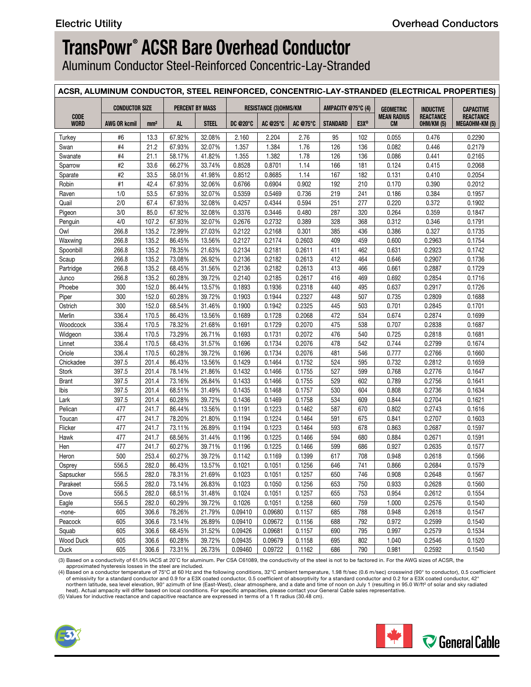Aluminum Conductor Steel-Reinforced Concentric-Lay-Stranded

|                            |                       |                 |                         |                        |                  |                                |                  |                    |            |                          |                                | ACSR, ALUMINUM CONDUCTOR, STEEL REINFORCED, CONCENTRIC-LAY-STRANDED (ELECTRICAL PROPERTIES) |
|----------------------------|-----------------------|-----------------|-------------------------|------------------------|------------------|--------------------------------|------------------|--------------------|------------|--------------------------|--------------------------------|---------------------------------------------------------------------------------------------|
|                            | <b>CONDUCTOR SIZE</b> |                 |                         | <b>PERCENT BY MASS</b> |                  | <b>RESISTANCE (3)OHMS/KM</b>   |                  | AMPACITY @75°C (4) |            | <b>GEOMETRIC</b>         | <b>INDUCTIVE</b>               | <b>CAPACITIVE</b>                                                                           |
| <b>CODE</b><br><b>WORD</b> | AWG OR kcmil          | mm <sup>2</sup> | AL.                     | <b>STEEL</b>           |                  | DC @20°C   AC @25°C   AC @75°C |                  | STANDARD   E3X®    |            | <b>MEAN RADIUS</b><br>CM | <b>REACTANCE</b><br>OHM/KM (5) | <b>REACTANCE</b><br>MEGAOHM-KM (5)                                                          |
| Turkey                     | #6                    | 13.3            | 67.92%                  | 32.08%                 | 2.160            | 2.204                          | 2.76             | 95                 | 102        | 0.055                    | 0.476                          | 0.2290                                                                                      |
| Swan                       | #4                    | 21.2            | 67.93%                  | 32.07%                 | 1.357            | 1.384                          | 1.76             | 126                | 136        | 0.082                    | 0.446                          | 0.2179                                                                                      |
| Swanate                    | #4                    | 21.1            | 58.17%                  | 41.82%                 | 1.355            | 1.382                          | 1.78             | 126                | 136        | 0.086                    | 0.441                          | 0.2165                                                                                      |
| Sparrow                    | #2                    | 33.6            | 66.27%                  | 33.74%                 | 0.8528           | 0.8701                         | 1.14             | 166                | 181        | 0.124                    | 0.415                          | 0.2068                                                                                      |
| Sparate                    | #2                    | 33.5            | 58.01%                  | 41.98%                 | 0.8512           | 0.8685                         | 1.14             | 167                | 182        | 0.131                    | 0.410                          | 0.2054                                                                                      |
| Robin                      | #1                    | 42.4            | 67.93%                  | 32.06%                 | 0.6766           | 0.6904                         | 0.902            | 192                | 210        | 0.170                    | 0.390                          | 0.2012                                                                                      |
| Raven                      | 1/0                   | 53.5            | 67.93%                  | 32.07%                 | 0.5359           | 0.5469                         | 0.736            | 219                | 241        | 0.186                    | 0.384                          | 0.1957                                                                                      |
| Quail                      | 2/0                   | 67.4            | 67.93%                  | 32.08%                 | 0.4257           | 0.4344                         | 0.594            | 251                | 277        | 0.220                    | 0.372                          | 0.1902                                                                                      |
| Pigeon                     | 3/0                   | 85.0            | 67.92%                  | 32.08%                 | 0.3376           | 0.3446                         | 0.480            | 287                | 320        | 0.264                    | 0.359                          | 0.1847                                                                                      |
| Penguin                    | 4/0                   | 107.2           | 67.93%                  | 32.07%                 | 0.2676           | 0.2732                         | 0.389            | 328                | 368        | 0.312                    | 0.346                          | 0.1791                                                                                      |
| Owl                        | 266.8                 | 135.2           | 72.99%                  | 27.03%                 | 0.2122           | 0.2168                         | 0.301            | 385                | 436        | 0.386                    | 0.327                          | 0.1735                                                                                      |
| Waxwing                    | 266.8                 | 135.2           | 86.45%                  | 13.56%                 | 0.2127           | 0.2174                         | 0.2603           | 409                | 459        | 0.600                    | 0.2963                         | 0.1754                                                                                      |
| Spoonbill                  | 266.8<br>266.8        | 135.2<br>135.2  | 78.35%<br>73.08%        | 21.63%<br>26.92%       | 0.2134<br>0.2136 | 0.2181<br>0.2182               | 0.2611<br>0.2613 | 411<br>412         | 462<br>464 | 0.631<br>0.646           | 0.2923<br>0.2907               | 0.1742<br>0.1736                                                                            |
| Scaup<br>Partridge         | 266.8                 | 135.2           | 68.45%                  | 31.56%                 | 0.2136           | 0.2182                         | 0.2613           | 413                | 466        | 0.661                    | 0.2887                         | 0.1729                                                                                      |
| Junco                      | 266.8                 | 135.2           | 60.28%                  | 39.72%                 | 0.2140           | 0.2185                         | 0.2617           | 416                | 469        | 0.692                    | 0.2854                         | 0.1716                                                                                      |
| Phoebe                     | 300                   | 152.0           | 86.44%                  | 13.57%                 | 0.1893           | 0.1936                         | 0.2318           | 440                | 495        | 0.637                    | 0.2917                         | 0.1726                                                                                      |
| Piper                      | 300                   | 152.0           | 60.28%                  | 39.72%                 | 0.1903           | 0.1944                         | 0.2327           | 448                | 507        | 0.735                    | 0.2809                         | 0.1688                                                                                      |
| Ostrich                    | 300                   | 152.0           | 68.54%                  | 31.46%                 | 0.1900           | 0.1942                         | 0.2325           | 445                | 503        | 0.701                    | 0.2845                         | 0.1701                                                                                      |
| Merlin                     | 336.4                 | 170.5           | 86.43%                  | 13.56%                 | 0.1689           | 0.1728                         | 0.2068           | 472                | 534        | 0.674                    | 0.2874                         | 0.1699                                                                                      |
| Woodcock                   | 336.4                 | 170.5           | 78.32%                  | 21.68%                 | 0.1691           | 0.1729                         | 0.2070           | 475                | 538        | 0.707                    | 0.2838                         | 0.1687                                                                                      |
| Widgeon                    | 336.4                 | 170.5           | 73.29%                  | 26.71%                 | 0.1693           | 0.1731                         | 0.2072           | 476                | 540        | 0.725                    | 0.2818                         | 0.1681                                                                                      |
| Linnet                     | 336.4                 | 170.5           | 68.43%                  | 31.57%                 | 0.1696           | 0.1734                         | 0.2076           | 478                | 542        | 0.744                    | 0.2799                         | 0.1674                                                                                      |
| Oriole                     | 336.4                 | 170.5           | 60.28%                  | 39.72%                 | 0.1696           | 0.1734                         | 0.2076           | 481                | 546        | 0.777                    | 0.2766                         | 0.1660                                                                                      |
| Chickadee                  | 397.5                 | 201.4           | 86.43%                  | 13.56%                 | 0.1429           | 0.1464                         | 0.1752           | 524                | 595        | 0.732                    | 0.2812                         | 0.1659                                                                                      |
| Stork                      | 397.5                 | 201.4           | 78.14%                  | 21.86%                 | 0.1432           | 0.1466                         | 0.1755           | 527                | 599        | 0.768                    | 0.2776                         | 0.1647                                                                                      |
| Brant<br>Ibis              | 397.5<br>397.5        | 201.4<br>201.4  | 73.16%<br>68.51%        | 26.84%<br>31.49%       | 0.1433<br>0.1435 | 0.1466<br>0.1468               | 0.1755<br>0.1757 | 529<br>530         | 602<br>604 | 0.789<br>0.808           | 0.2756<br>0.2736               | 0.1641<br>0.1634                                                                            |
| Lark                       | 397.5                 | 201.4           | 60.28%                  | 39.72%                 | 0.1436           | 0.1469                         | 0.1758           | 534                | 609        | 0.844                    | 0.2704                         | 0.1621                                                                                      |
| Pelican                    | 477                   | 241.7           | 86.44%                  | 13.56%                 | 0.1191           | 0.1223                         | 0.1462           | 587                | 670        | 0.802                    | 0.2743                         | 0.1616                                                                                      |
| Toucan                     | 477                   | 241.7           | 78.20%                  | 21.80%                 | 0.1194           | 0.1224                         | 0.1464           | 591                | 675        | 0.841                    | 0.2707                         | 0.1603                                                                                      |
| Flicker                    | 477                   | 241.7           | 73.11%                  | 26.89%                 | 0.1194           | 0.1223                         | 0.1464           | 593                | 678        | 0.863                    | 0.2687                         | 0.1597                                                                                      |
| Hawk                       | 477                   | 241.7           | 68.56%                  | 31.44%                 | 0.1196           | 0.1225                         | 0.1466           | 594                | 680        | 0.884                    | 0.2671                         | 0.1591                                                                                      |
| Hen                        | 477                   | 241.7           | 60.27%                  | 39.71%                 | 0.1196           | 0.1225                         | 0.1466           | 599                | 686        | 0.927                    | 0.2635                         | 0.1577                                                                                      |
| Heron                      | 500                   | 253.4           | 60.27%                  | 39.72%                 | 0.1142           | 0.1169                         | 0.1399           | 617                | 708        | 0.948                    | 0.2618                         | 0.1566                                                                                      |
| Osprey                     | 556.5                 | 282.0           | 86.43%                  | 13.57%                 | 0.1021           | 0.1051                         | 0.1256           | 646                | 741        | 0.866                    | 0.2684                         | 0.1579                                                                                      |
| Sapsucker                  | 556.5                 | 282.0           | 78.31%                  | 21.69%                 | 0.1023           | 0.1051                         | 0.1257           | 650                | 746        | 0.908                    | 0.2648                         | 0.1567                                                                                      |
| Parakeet                   | 556.5                 | 282.0           | 73.14%                  | 26.83%                 | 0.1023           | 0.1050                         | 0.1256           | 653                | 750        | 0.933                    | 0.2628                         | 0.1560                                                                                      |
| Dove                       | 556.5                 | 282.0           | 68.51%                  | 31.48%                 | 0.1024           | 0.1051                         | 0.1257           | 655                | 753        | 0.954                    | 0.2612                         | 0.1554                                                                                      |
| Eagle                      | 556.5                 | 282.0           | 60.29% 39.72%           |                        | 0.1026           | 0.1051                         | 0.1258           | 660                | 759        | 1.000                    | 0.2576                         | 0.1540                                                                                      |
| -none-                     | 605                   | 306.6           | 78.26% 21.79%           |                        | 0.09410          | 0.09680                        | 0.1157           | 685                | 788        | 0.948                    | 0.2618                         | 0.1547                                                                                      |
| Peacock                    | 605                   | 306.6           | 73.14%                  | 26.89%                 | 0.09410          | 0.09672                        | 0.1156           | 688                | 792        | 0.972                    | 0.2599                         | 0.1540                                                                                      |
| Squab                      | 605                   | 306.6           | 68.45%                  | 31.52%                 | 0.09426          | 0.09681                        | 0.1157           | 690                | 795        | 0.997                    | 0.2579                         | 0.1534                                                                                      |
| Wood Duck<br>Duck          | 605<br>605            | 306.6<br>306.6  | 60.28%<br>73.31% 26.73% | 39.72%                 | 0.09435          | 0.09679<br>0.09460 0.09722     | 0.1158<br>0.1162 | 695<br>686         | 802        | 1.040<br>0.981           | 0.2546<br>0.2592               | 0.1520<br>0.1540                                                                            |
|                            |                       |                 |                         |                        |                  |                                |                  |                    | 790        |                          |                                |                                                                                             |

(3) Based on a conductivity of 61.0% IACS at 20°C for aluminum. Per CSA C61089, the conductivity of the steel is not to be factored in. For the AWG sizes of ACSR, the<br>approximated hysteresis losses in the steel are include

4) Based on a conductor temperature of 75°C at 60 Hz and the following conditions, 32°C ambient temperature, 1.98 ft/sec (0.6 m/sec) crosswind (90° to conductor), 0.5 coefficient of emissivity for a stay conditions, 0.5 co heat). Actual ampacity will differ based on local conditions. For specific ampacities, please contact your General Cable sales representative.

(5) Values for inductive reactance and capacitive reactance are expressed in terms of a 1 ft radius (30.48 cm).



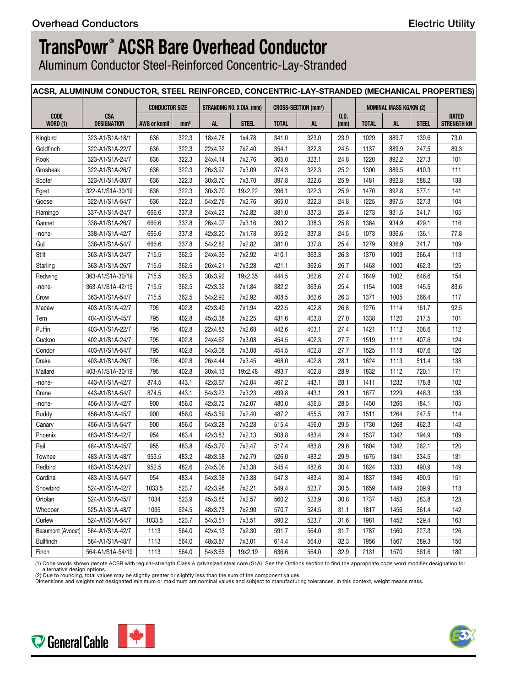Aluminum Conductor Steel-Reinforced Concentric-Lay-Stranded

|                                       |                         |                       |                 |                    | ACSR, ALUMINUM CONDUCTOR, STEEL REINFORCED, CONCENTRIC-LAY-STRANDED (MECHANICAL PROPERTIES) |                |                                       |              |              |                               |              |             |
|---------------------------------------|-------------------------|-----------------------|-----------------|--------------------|---------------------------------------------------------------------------------------------|----------------|---------------------------------------|--------------|--------------|-------------------------------|--------------|-------------|
|                                       |                         | <b>CONDUCTOR SIZE</b> |                 |                    | STRANDING NO. X DIA. (mm)                                                                   |                | <b>CROSS-SECTION (mm<sup>2</sup>)</b> |              |              | <b>NOMINAL MASS KG/KM (2)</b> |              |             |
| CODE                                  | CSA                     |                       |                 |                    |                                                                                             |                |                                       | 0.D.         |              |                               | <b>STEEL</b> | RATED       |
| <b>WORD (1)</b>                       | <b>DESIGNATION</b>      | <b>AWG or kcmil</b>   | mm <sup>2</sup> | <b>AL</b>          | <b>STEEL</b>                                                                                | <b>TOTAL</b>   | <b>AL</b>                             | (mm)         | <b>TOTAL</b> | <b>AL</b>                     |              | STRENGTH KN |
| Kingbird                              | 323-A1/S1A-18/1         | 636                   | 322.3           | 18x4.78            | 1x4.78                                                                                      | 341.0          | 323.0                                 | 23.9         | 1029         | 889.7                         | 139.6        | 73.0        |
| Goldfinch                             | 322-A1/S1A-22/7         | 636                   | 322.3           | 22x4.32            | 7x2.40                                                                                      | 354.1          | 322.3                                 | 24.5         | 1137         | 889.9                         | 247.5        | 89.3        |
| Rook                                  | 323-A1/S1A-24/7         | 636                   | 322.3           | 24x4.14            | 7x2.76                                                                                      | 365.0          | 323.1                                 | 24.8         | 1220         | 892.2                         | 327.3        | 101         |
| Grosbeak                              | 322-A1/S1A-26/7         | 636                   | 322.3           | 26x3.97            | 7x3.09                                                                                      | 374.3          | 322.3                                 | 25.2         | 1300         | 889.5                         | 410.3        | 111         |
| Scoter                                | 323-A1/S1A-30/7         | 636                   | 322.3           | 30x3.70            | 7x3.70                                                                                      | 397.8          | 322.6                                 | 25.9         | 1481         | 892.8                         | 588.2        | 138         |
| Egret                                 | 322-A1/S1A-30/19        | 636                   | 322.3           | 30x3.70            | 19x2.22                                                                                     | 396.1          | 322.3                                 | 25.9         | 1470         | 892.8                         | 577.1        | 141         |
| Goose                                 | 322-A1/S1A-54/7         | 636                   | 322.3           | 54x2.76            | 7x2.76                                                                                      | 365.0          | 322.3                                 | 24.8         | 1225         | 897.5                         | 327.3        | 104         |
| Flamingo                              | 337-A1/S1A-24/7         | 666.6                 | 337.8           | 24x4.23            | 7x2.82                                                                                      | 381.0          | 337.3                                 | 25.4         | 1273         | 931.5                         | 341.7        | 105         |
| Gannet                                | 338-A1/S1A-26/7         | 666.6                 | 337.8           | 26x4.07            | 7x3.16                                                                                      | 393.2          | 338.3                                 | 25.8         | 1364         | 934.9                         | 429.1        | 116         |
| -none-                                | 338-A1/S1A-42/7         | 666.6                 | 337.8           | 42x3.20            | 7x1.78                                                                                      | 355.2          | 337.8                                 | 24.5         | 1073         | 936.6                         | 136.1        | 77.8        |
| Gull                                  | 338-A1/S1A-54/7         | 666.6                 | 337.8           | 54x2.82            | 7x2.82                                                                                      | 381.0          | 337.8                                 | 25.4         | 1279         | 936.9                         | 341.7        | 109         |
| Stilt                                 | 363-A1/S1A-24/7         | 715.5                 | 362.5           | 24x4.39            | 7x2.92                                                                                      | 410.1          | 363.3                                 | 26.3         | 1370         | 1003                          | 366.4        | 113         |
| Starling                              | 363-A1/S1A-26/7         | 715.5                 | 362.5           | 26x4.21            | 7x3.28                                                                                      | 421.1          | 362.6                                 | 26.7         | 1463         | 1000                          | 462.3        | 125         |
| Redwing                               | 363-A1/S1A-30/19        | 715.5                 | 362.5           | 30x3.92            | 19x2.35                                                                                     | 444.5          | 362.6                                 | 27.4         | 1649         | 1002                          | 646.6        | 154         |
| -none-                                | 363-A1/S1A-42/19        | 715.5                 | 362.5           | 42x3.32            | 7x1.84                                                                                      | 382.2          | 363.6                                 | 25.4         | 1154         | 1008                          | 145.5        | 83.6        |
| Crow                                  | 363-A1/S1A-54/7         | 715.5                 | 362.5           | 54x2.92            | 7x2.92                                                                                      | 408.5          | 362.6                                 | 26.3         | 1371         | 1005                          | 366.4        | 117         |
| Macaw                                 | 403-A1/S1A-42/7         | 795                   | 402.8           | 42x3.49            | 7x1.94                                                                                      | 422.5          | 402.8                                 | 26.8         | 1276         | 1114                          | 161.7        | 92.5        |
| Tern                                  | 404-A1/S1A-45/7         | 795                   | 402.8           | 45x3.38            | 7x2.25                                                                                      | 431.6          | 403.8                                 | 27.0         | 1338         | 1120                          | 217.5        | 101         |
| Puffin                                | 403-A1/S1A-22/7         | 795                   | 402.8           | 22x4.83            | 7x2.68                                                                                      | 442.6          | 403.1                                 | 27.4         | 1421         | 1112                          | 308.6        | 112         |
| Cuckoo                                | 402-A1/S1A-24/7         | 795                   | 402.8           | 24x4.62            | 7x3.08                                                                                      | 454.5          | 402.3                                 | 27.7         | 1519         | 1111                          | 407.6        | 124         |
| Condor                                | 403-A1/S1A-54/7         | 795                   | 402.8           | 54x3.08            | 7x3.08                                                                                      | 454.5          | 402.8                                 | 27.7         | 1525         | 1118                          | 407.6        | 126         |
| Drake                                 | 403-A1/S1A-26/7         | 795                   | 402.8           | 26x4.44            | 7x3.45                                                                                      | 468.0          | 402.8                                 | 28.1         | 1624         | 1113                          | 511.4        | 138         |
| Mallard                               | 403-A1/S1A-30/19        | 795                   | 402.8           | 30x4.13            | 19x2.48                                                                                     | 493.7          | 402.8                                 | 28.9         | 1832         | 1112                          | 720.1        | 171         |
| -none-                                | 443-A1/S1A-42/7         | 874.5                 | 443.1           | 42x3.67            | 7x2.04                                                                                      | 467.2          | 443.1                                 | 28.1         | 1411         | 1232                          | 178.8        | 102         |
| Crane                                 | 443-A1/S1A-54/7         | 874.5                 | 443.1           | 54x3.23            | 7x3.23                                                                                      | 499.8          | 443.1                                 | 29.1         | 1677         | 1229                          | 448.3        | 138         |
| -none-                                | 456-A1/S1A-42/7         | 900                   | 456.0           | 42x3.72            | 7x2.07                                                                                      | 480.0          | 456.5                                 | 28.5         | 1450         | 1266                          | 184.1        | 105         |
| Ruddy                                 | 456-A1/S1A-45/7         | 900                   | 456.0           | 45x3.59            | 7x2.40                                                                                      | 487.2          | 455.5                                 | 28.7         | 1511         | 1264                          | 247.5        | 114         |
| Canary                                | 456-A1/S1A-54/7         | 900                   | 456.0           | 54x3.28            | 7x3.28                                                                                      | 515.4          | 456.0                                 | 29.5         | 1730         | 1268                          | 462.3        | 143         |
| Phoenix                               | 483-A1/S1A-42/7         | 954                   | 483.4           | 42x3.83            | 7x2.13                                                                                      | 508.8          | 483.4                                 | 29.4         | 1537         | 1342                          | 194.9        | 109         |
| Rail                                  | 484-A1/S1A-45/7         | 955                   | 483.8           | 45x3.70            | 7x2.47                                                                                      | 517.4          | 483.8                                 | 29.6         | 1604         | 1342                          | 262.1        | 120         |
| Towhee                                | 483-A1/S1A-48/7         | 953.5                 | 483.2           | 48x3.58            | 7x2.79                                                                                      | 526.0          | 483.2                                 | 29.9         | 1675         | 1341                          | 334.5        | 131         |
| Redbird                               | 483-A1/S1A-24/7         | 952.5                 | 482.6           | 24x5.06            | 7x3.38                                                                                      | 545.4          | 482.6                                 | 30.4         | 1824         | 1333                          | 490.9        | 149         |
| Cardinal                              | $ $ 483-A1/S1A-54/7 $ $ | 954                   | 483.4           | 54x3.38            | 7x3.38                                                                                      | 547.3          | 483.4                                 | 30.4         | 1837         | 1346                          | 490.9        | 151         |
| Snowbird                              | 524-A1/S1A-42/7         | 1033.5                | 523.7           | 42x3.98            | 7x2.21                                                                                      | 549.4          | 523.7                                 | 30.5         | 1659         | 1449                          | 209.9        | 118         |
| Ortolan                               | 524-A1/S1A-45/7         | 1034                  | 523.9           | 45x3.85            | 7x2.57                                                                                      | 560.2          | 523.9                                 | 30.8         | 1737         | 1453                          | 283.8        | 128         |
| Whooper                               | 525-A1/S1A-48/7         | 1035                  | 524.5           | 48x3.73            | 7x2.90                                                                                      | 570.7          | 524.5                                 | 31.1         | 1817         | 1456                          | 361.4        | 142         |
| Curlew                                | 524-A1/S1A-54/7         | 1033.5                | 523.7           | 54x3.51            | 7x3.51                                                                                      | 590.2          | 523.7                                 | 31.6         | 1981         | 1452                          | 529.4        | 163         |
|                                       | 564-A1/S1A-42/7         |                       |                 |                    |                                                                                             |                |                                       |              | 1787         |                               | 227.3        |             |
| Beaumont (Avocet)<br><b>Bullfinch</b> | 564-A1/S1A-48/7         | 1113<br>1113          | 564.0<br>564.0  | 42x4.13<br>48x3.87 | 7x2.30<br>7x3.01                                                                            | 591.7<br>614.4 | 564.0<br>564.0                        | 31.7<br>32.3 | 1956         | 1560<br>1567                  | 389.3        | 126<br>150  |
|                                       | 564-A1/S1A-54/19        |                       |                 |                    |                                                                                             |                |                                       |              |              |                               | 561.6        |             |
| Finch                                 |                         | 1113                  | 564.0           | 54x3.65            | 19x2.19                                                                                     | 636.6          | 564.0                                 | 32.9         | 2131         | 1570                          |              | 180         |

(1) Code words shown denote ACSR with regular-strength Class A galvanized steel core (S1A). See the Options section to find the appropriate code word modifier designation for

alternative design options. (2) Due to rounding, total values may be slightly greater or slightly less than the sum of the component values.

Dimensions and weights not designated minimum or maximum are nominal values and subject to manufacturing tolerances. In this context, weight means mass.



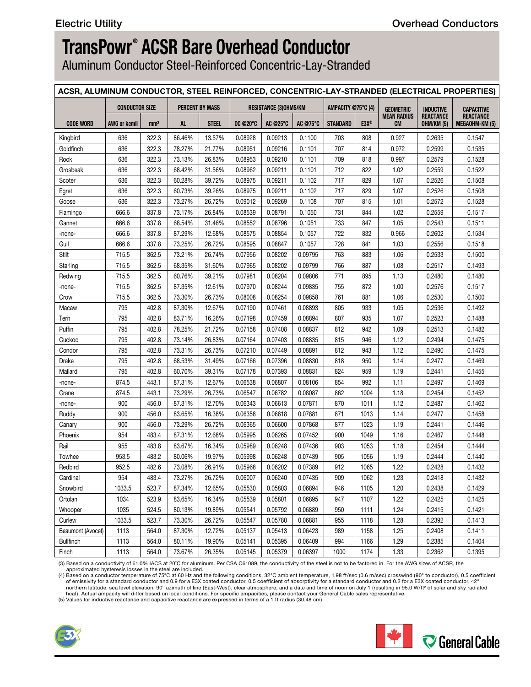Aluminum Conductor Steel-Reinforced Concentric-Lay-Stranded

## **ACSR, ALUMINUM CONDUCTOR, STEEL REINFORCED, CONCENTRIC-LAY-STRANDED (ELECTRICAL PROPERTIES)**

|                   |              | <b>CONDUCTOR SIZE</b> |        | <b>PERCENT BY MASS</b> |         | <b>RESISTANCE (3)OHMS/KM</b>   |         | AMPACITY @75°C (4) |      | <b>GEOMETRIC</b>                | <b>INDUCTIVE</b>                      | CAPACITIVE                  |
|-------------------|--------------|-----------------------|--------|------------------------|---------|--------------------------------|---------|--------------------|------|---------------------------------|---------------------------------------|-----------------------------|
| <b>CODE WORD</b>  | AWG or kcmil | mm <sup>2</sup>       | AL     | <b>STEEL</b>           |         | DC @20°C   AC @25°C   AC @75°C |         | STANDARD   E3X®    |      | <b>MEAN RADIUS</b><br><b>CM</b> | <b>REACTANCE</b><br><b>OHM/KM (5)</b> | REACTANCE<br>MEGAOHM-KM (5) |
| Kingbird          | 636          | 322.3                 | 86.46% | 13.57%                 | 0.08928 | 0.09213                        | 0.1100  | 703                | 808  | 0.927                           | 0.2635                                | 0.1547                      |
| Goldfinch         | 636          | 322.3                 | 78.27% | 21.77%                 | 0.08951 | 0.09216                        | 0.1101  | 707                | 814  | 0.972                           | 0.2599                                | 0.1535                      |
| Rook              | 636          | 322.3                 | 73.13% | 26.83%                 | 0.08953 | 0.09210                        | 0.1101  | 709                | 818  | 0.997                           | 0.2579                                | 0.1528                      |
| Grosbeak          | 636          | 322.3                 | 68.42% | 31.56%                 | 0.08962 | 0.09211                        | 0.1101  | 712                | 822  | 1.02                            | 0.2559                                | 0.1522                      |
| Scoter            | 636          | 322.3                 | 60.28% | 39.72%                 | 0.08975 | 0.09211                        | 0.1102  | 717                | 829  | 1.07                            | 0.2526                                | 0.1508                      |
| Egret             | 636          | 322.3                 | 60.73% | 39.26%                 | 0.08975 | 0.09211                        | 0.1102  | 717                | 829  | 1.07                            | 0.2526                                | 0.1508                      |
| Goose             | 636          | 322.3                 | 73.27% | 26.72%                 | 0.09012 | 0.09269                        | 0.1108  | 707                | 815  | 1.01                            | 0.2572                                | 0.1528                      |
| Flamingo          | 666.6        | 337.8                 | 73.17% | 26.84%                 | 0.08539 | 0.08791                        | 0.1050  | 731                | 844  | 1.02                            | 0.2559                                | 0.1517                      |
| Gannet            | 666.6        | 337.8                 | 68.54% | 31.46%                 | 0.08552 | 0.08796                        | 0.1051  | 733                | 847  | 1.05                            | 0.2543                                | 0.1511                      |
| -none-            | 666.6        | 337.8                 | 87.29% | 12.68%                 | 0.08575 | 0.08854                        | 0.1057  | 722                | 832  | 0.966                           | 0.2602                                | 0.1534                      |
| Gull              | 666.6        | 337.8                 | 73.25% | 26.72%                 | 0.08595 | 0.08847                        | 0.1057  | 728                | 841  | 1.03                            | 0.2556                                | 0.1518                      |
| Stilt             | 715.5        | 362.5                 | 73.21% | 26.74%                 | 0.07956 | 0.08202                        | 0.09795 | 763                | 883  | 1.06                            | 0.2533                                | 0.1500                      |
| Starling          | 715.5        | 362.5                 | 68.35% | 31.60%                 | 0.07965 | 0.08202                        | 0.09799 | 766                | 887  | 1.08                            | 0.2517                                | 0.1493                      |
| Redwing           | 715.5        | 362.5                 | 60.76% | 39.21%                 | 0.07981 | 0.08204                        | 0.09806 | 771                | 895  | 1.13                            | 0.2480                                | 0.1480                      |
| -none-            | 715.5        | 362.5                 | 87.35% | 12.61%                 | 0.07970 | 0.08244                        | 0.09835 | 755                | 872  | 1.00                            | 0.2576                                | 0.1517                      |
| Crow              | 715.5        | 362.5                 | 73.30% | 26.73%                 | 0.08008 | 0.08254                        | 0.09858 | 761                | 881  | 1.06                            | 0.2530                                | 0.1500                      |
| Macaw             | 795          | 402.8                 | 87.30% | 12.67%                 | 0.07190 | 0.07461                        | 0.08893 | 805                | 933  | 1.05                            | 0.2536                                | 0.1492                      |
| Tern              | 795          | 402.8                 | 83.71% | 16.26%                 | 0.07198 | 0.07459                        | 0.08894 | 807                | 935  | 1.07                            | 0.2523                                | 0.1488                      |
| Puffin            | 795          | 402.8                 | 78.25% | 21.72%                 | 0.07158 | 0.07408                        | 0.08837 | 812                | 942  | 1.09                            | 0.2513                                | 0.1482                      |
| Cuckoo            | 795          | 402.8                 | 73.14% | 26.83%                 | 0.07164 | 0.07403                        | 0.08835 | 815                | 946  | 1.12                            | 0.2494                                | 0.1475                      |
| Condor            | 795          | 402.8                 | 73.31% | 26.73%                 | 0.07210 | 0.07449                        | 0.08891 | 812                | 943  | 1.12                            | 0.2490                                | 0.1475                      |
| Drake             | 795          | 402.8                 | 68.53% | 31.49%                 | 0.07166 | 0.07396                        | 0.08830 | 818                | 950  | 1.14                            | 0.2477                                | 0.1469                      |
| Mallard           | 795          | 402.8                 | 60.70% | 39.31%                 | 0.07178 | 0.07393                        | 0.08831 | 824                | 959  | 1.19                            | 0.2441                                | 0.1455                      |
| -none-            | 874.5        | 443.1                 | 87.31% | 12.67%                 | 0.06538 | 0.06807                        | 0.08106 | 854                | 992  | 1.11                            | 0.2497                                | 0.1469                      |
| Crane             | 874.5        | 443.1                 | 73.29% | 26.73%                 | 0.06547 | 0.06782                        | 0.08087 | 862                | 1004 | 1.18                            | 0.2454                                | 0.1452                      |
| -none-            | 900          | 456.0                 | 87.31% | 12.70%                 | 0.06343 | 0.06613                        | 0.07871 | 870                | 1011 | 1.12                            | 0.2487                                | 0.1462                      |
| Ruddy             | 900          | 456.0                 | 83.65% | 16.38%                 | 0.06358 | 0.06618                        | 0.07881 | 871                | 1013 | 1.14                            | 0.2477                                | 0.1458                      |
| Canary            | 900          | 456.0                 | 73.29% | 26.72%                 | 0.06365 | 0.06600                        | 0.07868 | 877                | 1023 | 1.19                            | 0.2441                                | 0.1446                      |
| Phoenix           | 954          | 483.4                 | 87.31% | 12.68%                 | 0.05995 | 0.06265                        | 0.07452 | 900                | 1049 | 1.16                            | 0.2467                                | 0.1448                      |
| Rail              | 955          | 483.8                 | 83.67% | 16.34%                 | 0.05989 | 0.06248                        | 0.07436 | 903                | 1053 | 1.18                            | 0.2454                                | 0.1444                      |
| Towhee            | 953.5        | 483.2                 | 80.06% | 19.97%                 | 0.05998 | 0.06248                        | 0.07439 | 905                | 1056 | 1.19                            | 0.2444                                | 0.1440                      |
| Redbird           | 952.5        | 482.6                 | 73.08% | 26.91%                 | 0.05968 | 0.06202                        | 0.07389 | 912                | 1065 | 1.22                            | 0.2428                                | 0.1432                      |
| Cardinal          | 954          | 483.4                 | 73.27% | 26.72%                 | 0.06007 | 0.06240                        | 0.07435 | 909                | 1062 | 1.23                            | 0.2418                                | 0.1432                      |
| Snowbird          | 1033.5       | 523.7                 | 87.34% | 12.65%                 | 0.05530 | 0.05803                        | 0.06894 | 946                | 1105 | 1.20                            | 0.2438                                | 0.1429                      |
| Ortolan           | 1034         | 523.9                 | 83.65% | 16.34%                 | 0.05539 | 0.05801                        | 0.06895 | 947                | 1107 | 1.22                            | 0.2425                                | 0.1425                      |
| Whooper           | 1035         | 524.5                 | 80.13% | 19.89%                 | 0.05541 | 0.05792                        | 0.06889 | 950                | 1111 | 1.24                            | 0.2415                                | 0.1421                      |
| Curlew            | 1033.5       | 523.7                 | 73.30% | 26.72%                 | 0.05547 | 0.05780                        | 0.06881 | 955                | 1118 | 1.28                            | 0.2392                                | 0.1413                      |
| Beaumont (Avocet) | 1113         | 564.0                 | 87.30% | 12.72%                 | 0.05137 | 0.05413                        | 0.06423 | 989                | 1158 | 1.25                            | 0.2408                                | 0.1411                      |
| <b>Bullfinch</b>  | 1113         | 564.0                 | 80.11% | 19.90%                 | 0.05141 | 0.05395                        | 0.06409 | 994                | 1166 | 1.29                            | 0.2385                                | 0.1404                      |
| Finch             | 1113         | 564.0                 | 73.67% | 26.35%                 | 0.05145 | 0.05379                        | 0.06397 | 1000               | 1174 | 1.33                            | 0.2362                                | 0.1395                      |

(3) Based on a conductivity of 61.0% IACS at 20˚C for aluminum. Per CSA C61089, the conductivity of the steel is not to be factored in. For the AWG sizes of ACSR, the

approximated hysteresis losses in the steel are included.<br>(4) Based on a conductor temperature of 75°C at 60 Hz and the following conditions, 32°C ambient temperature, 1.98 ft/sec (0.6 m/sec) crosswind (90° to conductor), of emissivity for a standard conductor and 0.9 for a E3X coated conductor, 0.5 coefficient of absorptivity for a standard conductor and 0.2 for a E3X coated conductor, 42° northern latitude, sea level elevation, 90° azimuth of line (East-West), clear atmosphere, and a date and time of noon on July 1 (resulting in 95.0 W/ft² of solar and sky radiated<br>heat). Actual ampacity will differ based o

(5) Values for inductive reactance and capacitive reactance are expressed in terms of a 1 ft radius (30.48 cm).



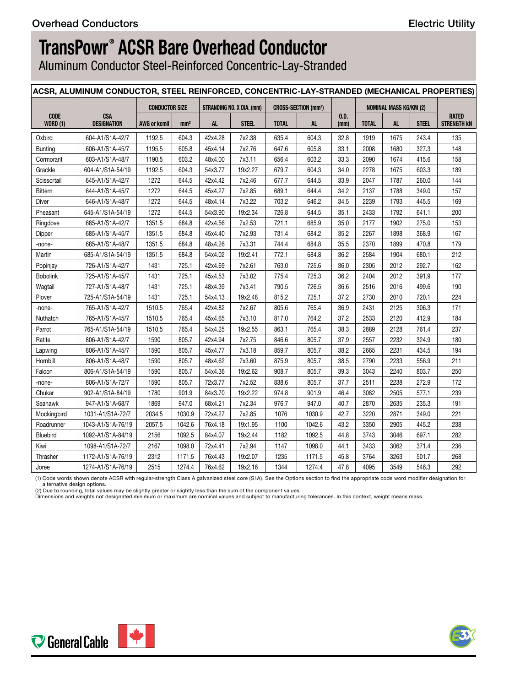Aluminum Conductor Steel-Reinforced Concentric-Lay-Stranded

|                         | ACSR, ALUMINUM CONDUCTOR, STEEL REINFORCED, CONCENTRIC-LAY-STRANDED (MECHANICAL PROPERTIES) |                       |                 |           |                                  |              |                                       |              |              |                               |              |                             |
|-------------------------|---------------------------------------------------------------------------------------------|-----------------------|-----------------|-----------|----------------------------------|--------------|---------------------------------------|--------------|--------------|-------------------------------|--------------|-----------------------------|
|                         |                                                                                             | <b>CONDUCTOR SIZE</b> |                 |           | <b>STRANDING NO. X DIA. (mm)</b> |              | <b>CROSS-SECTION (mm<sup>2</sup>)</b> |              |              | <b>NOMINAL MASS KG/KM (2)</b> |              |                             |
| CODE<br><b>WORD (1)</b> | <b>CSA</b><br><b>DESIGNATION</b>                                                            | <b>AWG or kcmil</b>   | mm <sup>2</sup> | <b>AL</b> | <b>STEEL</b>                     | <b>TOTAL</b> | <b>AL</b>                             | 0.D.<br>(mm) | <b>TOTAL</b> | AL                            | <b>STEEL</b> | RATED<br><b>STRENGTH KN</b> |
| Oxbird                  | 604-A1/S1A-42/7                                                                             | 1192.5                | 604.3           | 42x4.28   | 7x2.38                           | 635.4        | 604.3                                 | 32.8         | 1919         | 1675                          | 243.4        | 135                         |
| Bunting                 | 606-A1/S1A-45/7                                                                             | 1195.5                | 605.8           | 45x4.14   | 7x2.76                           | 647.6        | 605.8                                 | 33.1         | 2008         | 1680                          | 327.3        | 148                         |
| Cormorant               | 603-A1/S1A-48/7                                                                             | 1190.5                | 603.2           | 48x4.00   | 7x3.11                           | 656.4        | 603.2                                 | 33.3         | 2090         | 1674                          | 415.6        | 158                         |
| Grackle                 | 604-A1/S1A-54/19                                                                            | 1192.5                | 604.3           | 54x3.77   | 19x2.27                          | 679.7        | 604.3                                 | 34.0         | 2278         | 1675                          | 603.3        | 189                         |
| Scissortail             | 645-A1/S1A-42/7                                                                             | 1272                  | 644.5           | 42x4.42   | 7x2.46                           | 677.7        | 644.5                                 | 33.9         | 2047         | 1787                          | 260.0        | 144                         |
| Bittern                 | 644-A1/S1A-45/7                                                                             | 1272                  | 644.5           | 45x4.27   | 7x2.85                           | 689.1        | 644.4                                 | 34.2         | 2137         | 1788                          | 349.0        | 157                         |
| Diver                   | 646-A1/S1A-48/7                                                                             | 1272                  | 644.5           | 48x4.14   | 7x3.22                           | 703.2        | 646.2                                 | 34.5         | 2239         | 1793                          | 445.5        | 169                         |
| Pheasant                | 645-A1/S1A-54/19                                                                            | 1272                  | 644.5           | 54x3.90   | 19x2.34                          | 726.8        | 644.5                                 | 35.1         | 2433         | 1792                          | 641.1        | 200                         |
| Ringdove                | 685-A1/S1A-42/7                                                                             | 1351.5                | 684.8           | 42x4.56   | 7x2.53                           | 721.1        | 685.9                                 | 35.0         | 2177         | 1902                          | 275.0        | 153                         |
| Dipper                  | 685-A1/S1A-45/7                                                                             | 1351.5                | 684.8           | 45x4.40   | 7x2.93                           | 731.4        | 684.2                                 | 35.2         | 2267         | 1898                          | 368.9        | 167                         |
| -none-                  | 685-A1/S1A-48/7                                                                             | 1351.5                | 684.8           | 48x4.26   | 7x3.31                           | 744.4        | 684.8                                 | 35.5         | 2370         | 1899                          | 470.8        | 179                         |
| Martin                  | 685-A1/S1A-54/19                                                                            | 1351.5                | 684.8           | 54x4.02   | 19x2.41                          | 772.1        | 684.8                                 | 36.2         | 2584         | 1904                          | 680.1        | 212                         |
| Popinjay                | 726-A1/S1A-42/7                                                                             | 1431                  | 725.1           | 42x4.69   | 7x2.61                           | 763.0        | 725.6                                 | 36.0         | 2305         | 2012                          | 292.7        | 162                         |
| <b>Bobolink</b>         | 725-A1/S1A-45/7                                                                             | 1431                  | 725.1           | 45x4.53   | 7x3.02                           | 775.4        | 725.3                                 | 36.2         | 2404         | 2012                          | 391.9        | 177                         |
| Wagtail                 | 727-A1/S1A-48/7                                                                             | 1431                  | 725.1           | 48x4.39   | 7x3.41                           | 790.5        | 726.5                                 | 36.6         | 2516         | 2016                          | 499.6        | 190                         |
| Plover                  | 725-A1/S1A-54/19                                                                            | 1431                  | 725.1           | 54x4.13   | 19x2.48                          | 815.2        | 725.1                                 | 37.2         | 2730         | 2010                          | 720.1        | 224                         |
| -none-                  | 765-A1/S1A-42/7                                                                             | 1510.5                | 765.4           | 42x4.82   | 7x2.67                           | 805.6        | 765.4                                 | 36.9         | 2431         | 2125                          | 306.3        | 171                         |
| Nuthatch                | 765-A1/S1A-45/7                                                                             | 1510.5                | 765.4           | 45x4.65   | 7x3.10                           | 817.0        | 764.2                                 | 37.2         | 2533         | 2120                          | 412.9        | 184                         |
| Parrot                  | 765-A1/S1A-54/19                                                                            | 1510.5                | 765.4           | 54x4.25   | 19x2.55                          | 863.1        | 765.4                                 | 38.3         | 2889         | 2128                          | 761.4        | 237                         |
| Ratite                  | 806-A1/S1A-42/7                                                                             | 1590                  | 805.7           | 42x4.94   | 7x2.75                           | 846.6        | 805.7                                 | 37.9         | 2557         | 2232                          | 324.9        | 180                         |
| Lapwing                 | 806-A1/S1A-45/7                                                                             | 1590                  | 805.7           | 45x4.77   | 7x3.18                           | 859.7        | 805.7                                 | 38.2         | 2665         | 2231                          | 434.5        | 194                         |
| Hornbill                | 806-A1/S1A-48/7                                                                             | 1590                  | 805.7           | 48x4.62   | 7x3.60                           | 875.9        | 805.7                                 | 38.5         | 2790         | 2233                          | 556.9        | 211                         |
| Falcon                  | 806-A1/S1A-54/19                                                                            | 1590                  | 805.7           | 54x4.36   | 19x2.62                          | 908.7        | 805.7                                 | 39.3         | 3043         | 2240                          | 803.7        | 250                         |
| -none-                  | 806-A1/S1A-72/7                                                                             | 1590                  | 805.7           | 72x3.77   | 7x2.52                           | 838.6        | 805.7                                 | 37.7         | 2511         | 2238                          | 272.9        | 172                         |
| Chukar                  | 902-A1/S1A-84/19                                                                            | 1780                  | 901.9           | 84x3.70   | 19x2.22                          | 974.8        | 901.9                                 | 46.4         | 3082         | 2505                          | 577.1        | 239                         |
| Seahawk                 | 947-A1/S1A-68/7                                                                             | 1869                  | 947.0           | 68x4.21   | 7x2.34                           | 976.7        | 947.0                                 | 40.7         | 2870         | 2635                          | 235.3        | 191                         |
| Mockingbird             | 1031-A1/S1A-72/7                                                                            | 2034.5                | 1030.9          | 72x4.27   | 7x2.85                           | 1076         | 1030.9                                | 42.7         | 3220         | 2871                          | 349.0        | 221                         |
| Roadrunner              | 1043-A1/S1A-76/19                                                                           | 2057.5                | 1042.6          | 76x4.18   | 19x1.95                          | 1100         | 1042.6                                | 43.2         | 3350         | 2905                          | 445.2        | 238                         |
| Bluebird                | 1092-A1/S1A-84/19                                                                           | 2156                  | 1092.5          | 84x4.07   | 19x2.44                          | 1182         | 1092.5                                | 44.8         | 3743         | 3046                          | 697.1        | 282                         |
| Kiwi                    | 1098-A1/S1A-72/7                                                                            | 2167                  | 1098.0          | 72x4.41   | 7x2.94                           | 1147         | 1098.0                                | 44.1         | 3433         | 3062                          | 371.4        | 236                         |
| Thrasher                | 1172-A1/S1A-76/19                                                                           | 2312                  | 1171.5          | 76x4.43   | 19x2.07                          | 1235         | 1171.5                                | 45.8         | 3764         | 3263                          | 501.7        | 268                         |
| Joree                   | 1274-A1/S1A-76/19                                                                           | 2515                  | 1274.4          | 76x4.62   | 19x2.16                          | 1344         | 1274.4                                | 47.8         | 4095         | 3549                          | 546.3        | 292                         |

(1) Code words shown denote ACSR with regular-strength Class A galvanized steel core (S1A). See the Options section to find the appropriate code word modifier designation for alternative design options.<br>(2) Due to rounding, total values may be slightly greater or slightly less than the sum of the component values.<br>Dimensions and weights not designated minimum or maximum are nominal values and s



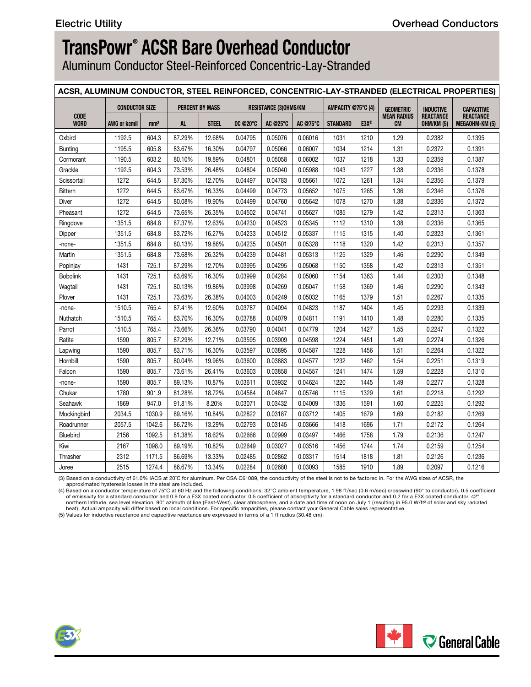Aluminum Conductor Steel-Reinforced Concentric-Lay-Stranded

### **ACSR, ALUMINUM CONDUCTOR, STEEL REINFORCED, CONCENTRIC-LAY-STRANDED (ELECTRICAL PROPERTIES)**

| <b>REACTANCE</b><br><b>MEAN RADIUS</b><br><b>CODE</b><br>AC @75°C<br>STANDARD  <br>E3X®<br><b>CM</b><br><b>OHM/KM (5)</b><br>MEGAOHM-KM (5)<br><b>WORD</b><br><b>AWG or kcmil</b><br><b>STEEL</b><br>DC @20°C   AC @25°C  <br>mm <sup>2</sup><br>AL.<br>87.29%<br>0.05076<br>1031<br>1210<br>1.29<br>1192.5<br>604.3<br>12.68%<br>0.04795<br>0.06016<br>0.2382<br>Oxbird<br>1214<br>0.2372<br>1195.5<br>83.67%<br>16.30%<br>0.04797<br>0.05066<br>0.06007<br>1034<br>1.31<br>Bunting<br>605.8<br>19.89%<br>0.04801<br>0.05058<br>0.06002<br>1218<br>0.2359<br>1190.5<br>603.2<br>80.10%<br>1037<br>1.33<br>Cormorant<br>26.48%<br>0.05040<br>0.05988<br>1227<br>0.2336<br>1192.5<br>604.3<br>73.53%<br>0.04804<br>1043<br>1.38<br>Grackle<br>12.70%<br>0.04497<br>0.04783<br>1261<br>1272<br>644.5<br>87.30%<br>0.05661<br>1072<br>1.34<br>0.2356<br>Scissortail<br>1272<br>1265<br>644.5<br>83.67%<br>16.33%<br>0.04499<br>0.04773<br>0.05652<br>1075<br>1.36<br>0.2346<br>Bittern<br>0.04760<br>0.05642<br>Diver<br>1272<br>644.5<br>80.08%<br>19.90%<br>0.04499<br>1078<br>1270<br>1.38<br>0.2336<br>1272<br>26.35%<br>0.04502<br>0.04741<br>0.05627<br>1085<br>1279<br>1.42<br>0.2313<br>Pheasant<br>644.5<br>73.65%<br>1.38<br>1351.5<br>684.8<br>87.37%<br>12.63%<br>0.04230<br>0.04523<br>0.05345<br>1112<br>1310<br>0.2336<br>Ringdove<br>0.04233<br>1315<br>1351.5<br>83.72%<br>16.27%<br>0.04512<br>0.05337<br>1115<br>1.40<br>0.2323<br>684.8<br>Dipper<br>1351.5<br>19.86%<br>0.04235<br>0.04501<br>0.05328<br>1118<br>1320<br>1.42<br>0.2313<br>684.8<br>80.13%<br>-none-<br>26.32%<br>0.04239<br>0.04481<br>0.05313<br>1125<br>1329<br>0.2290<br>1351.5<br>684.8<br>73.68%<br>1.46<br>0.1349<br>Martin<br>12.70%<br>0.03995<br>0.05068<br>1358<br>1431<br>725.1<br>87.29%<br>0.04295<br>1150<br>1.42<br>0.2313<br>0.1351<br>Popinjay<br>83.69%<br>16.30%<br>0.03999<br>0.04284<br>0.05060<br>1363<br>0.2303<br>0.1348<br>1431<br>725.1<br>1154<br>1.44<br><b>Bobolink</b><br>19.86%<br>0.03998<br>0.04269<br>0.05047<br>1158<br>1369<br>1.46<br>0.2290<br>0.1343<br>1431<br>725.1<br>80.13%<br>Wagtail<br>0.05032<br>1379<br>0.2267<br>Plover<br>725.1<br>73.63%<br>26.38%<br>0.04003<br>0.04249<br>1.51<br>0.1335<br>1431<br>1165<br>1510.5<br>765.4<br>12.60%<br>0.03787<br>0.04094<br>0.04823<br>1187<br>1404<br>1.45<br>0.2293<br>87.41%<br>0.1339<br>-none-<br>0.03788<br>0.2280<br>1510.5<br>765.4<br>83.70%<br>16.30%<br>0.04079<br>0.04811<br>1410<br>1.48<br>0.1335<br>1191<br>Nuthatch<br>26.36%<br>0.03790<br>0.04779<br>1427<br>1.55<br>Parrot<br>1510.5<br>765.4<br>73.66%<br>0.04041<br>1204<br>0.2247<br>0.1322<br>1451<br>0.2274<br>Ratite<br>1590<br>805.7<br>87.29%<br>12.71%<br>0.03595<br>0.03909<br>0.04598<br>1224<br>1.49<br>0.1326<br>83.71%<br>16.30%<br>0.03597<br>0.03895<br>0.04587<br>1228<br>1456<br>1590<br>805.7<br>1.51<br>0.2264<br>0.1322<br>Lapwing<br>0.03600<br>1590<br>805.7<br>80.04%<br>19.96%<br>0.03883<br>0.04577<br>1232<br>1462<br>0.2251<br>0.1319<br>1.54<br>Hornbill<br>0.03858<br>1590<br>805.7<br>73.61%<br>26.41%<br>0.03603<br>0.04557<br>1241<br>1474<br>1.59<br>0.2228<br>0.1310<br>Falcon<br>0.03932<br>1445<br>1.49<br>0.2277<br>1590<br>805.7<br>10.87%<br>0.03611<br>0.04624<br>1220<br>0.1328<br>89.13%<br>-none-<br>0.05746<br>1329<br>Chukar<br>1780<br>901.9<br>81.28%<br>18.72%<br>0.04584<br>0.04847<br>1115<br>1.61<br>0.2218<br>0.1292<br>1869<br>1336<br>1591<br>0.2225<br>947.0<br>91.81%<br>8.20%<br>0.03071<br>0.03432<br>0.04009<br>1.60<br>0.1292<br>Seahawk<br>10.84%<br>0.02822<br>0.03187<br>0.03712<br>1679<br>1.69<br>2034.5<br>1030.9<br>89.16%<br>1405<br>0.2182<br>0.1269<br>Mockingbird<br>2057.5<br>1042.6<br>86.72%<br>13.29%<br>0.02793<br>0.03145<br>0.03666<br>1696<br>0.2172<br>0.1264<br>1418<br>1.71<br>Roadrunner<br>0.02666<br>1758<br>2156<br>1092.5<br>81.38%<br>18.62%<br>0.02999<br>0.03497<br>1466<br>1.79<br>0.2136<br>0.1247<br>Bluebird<br>1098.0<br>10.82%<br>0.02649<br>0.03027<br>1744<br>Kiwi<br>2167<br>89.19%<br>0.03516<br>1456<br>1.74<br>0.2159<br>0.1254<br>2312<br>1171.5<br>86.69%<br>13.33%<br>0.02485<br>0.02862<br>0.03317<br>1514<br>1818<br>0.2126<br>0.1236<br>Thrasher<br>1.81<br>0.1216<br>1274.4 |       |      | <b>CONDUCTOR SIZE</b> |        | <b>PERCENT BY MASS</b> |         | <b>RESISTANCE (3)OHMS/KM</b> |         | AMPACITY @75°C (4) |      | <b>GEOMETRIC</b> | <b>INDUCTIVE</b> | <b>CAPACITIVE</b> |
|-----------------------------------------------------------------------------------------------------------------------------------------------------------------------------------------------------------------------------------------------------------------------------------------------------------------------------------------------------------------------------------------------------------------------------------------------------------------------------------------------------------------------------------------------------------------------------------------------------------------------------------------------------------------------------------------------------------------------------------------------------------------------------------------------------------------------------------------------------------------------------------------------------------------------------------------------------------------------------------------------------------------------------------------------------------------------------------------------------------------------------------------------------------------------------------------------------------------------------------------------------------------------------------------------------------------------------------------------------------------------------------------------------------------------------------------------------------------------------------------------------------------------------------------------------------------------------------------------------------------------------------------------------------------------------------------------------------------------------------------------------------------------------------------------------------------------------------------------------------------------------------------------------------------------------------------------------------------------------------------------------------------------------------------------------------------------------------------------------------------------------------------------------------------------------------------------------------------------------------------------------------------------------------------------------------------------------------------------------------------------------------------------------------------------------------------------------------------------------------------------------------------------------------------------------------------------------------------------------------------------------------------------------------------------------------------------------------------------------------------------------------------------------------------------------------------------------------------------------------------------------------------------------------------------------------------------------------------------------------------------------------------------------------------------------------------------------------------------------------------------------------------------------------------------------------------------------------------------------------------------------------------------------------------------------------------------------------------------------------------------------------------------------------------------------------------------------------------------------------------------------------------------------------------------------------------------------------------------------------------------------------------------------------------------------------------------------------------------------------------------------------------------------------------------------------------------------------------------------------------------------------------------------------------------------------------------------------------------------------------------------------------------------------------------------------------------------------------------------------------------------------------------------------------------------------------------------------------------------------------|-------|------|-----------------------|--------|------------------------|---------|------------------------------|---------|--------------------|------|------------------|------------------|-------------------|
|                                                                                                                                                                                                                                                                                                                                                                                                                                                                                                                                                                                                                                                                                                                                                                                                                                                                                                                                                                                                                                                                                                                                                                                                                                                                                                                                                                                                                                                                                                                                                                                                                                                                                                                                                                                                                                                                                                                                                                                                                                                                                                                                                                                                                                                                                                                                                                                                                                                                                                                                                                                                                                                                                                                                                                                                                                                                                                                                                                                                                                                                                                                                                                                                                                                                                                                                                                                                                                                                                                                                                                                                                                                                                                                                                                                                                                                                                                                                                                                                                                                                                                                                                                                                                                         |       |      |                       |        |                        |         |                              |         |                    |      |                  |                  | <b>REACTANCE</b>  |
|                                                                                                                                                                                                                                                                                                                                                                                                                                                                                                                                                                                                                                                                                                                                                                                                                                                                                                                                                                                                                                                                                                                                                                                                                                                                                                                                                                                                                                                                                                                                                                                                                                                                                                                                                                                                                                                                                                                                                                                                                                                                                                                                                                                                                                                                                                                                                                                                                                                                                                                                                                                                                                                                                                                                                                                                                                                                                                                                                                                                                                                                                                                                                                                                                                                                                                                                                                                                                                                                                                                                                                                                                                                                                                                                                                                                                                                                                                                                                                                                                                                                                                                                                                                                                                         |       |      |                       |        |                        |         |                              |         |                    |      |                  |                  |                   |
|                                                                                                                                                                                                                                                                                                                                                                                                                                                                                                                                                                                                                                                                                                                                                                                                                                                                                                                                                                                                                                                                                                                                                                                                                                                                                                                                                                                                                                                                                                                                                                                                                                                                                                                                                                                                                                                                                                                                                                                                                                                                                                                                                                                                                                                                                                                                                                                                                                                                                                                                                                                                                                                                                                                                                                                                                                                                                                                                                                                                                                                                                                                                                                                                                                                                                                                                                                                                                                                                                                                                                                                                                                                                                                                                                                                                                                                                                                                                                                                                                                                                                                                                                                                                                                         |       |      |                       |        |                        |         |                              |         |                    |      |                  |                  | 0.1395            |
|                                                                                                                                                                                                                                                                                                                                                                                                                                                                                                                                                                                                                                                                                                                                                                                                                                                                                                                                                                                                                                                                                                                                                                                                                                                                                                                                                                                                                                                                                                                                                                                                                                                                                                                                                                                                                                                                                                                                                                                                                                                                                                                                                                                                                                                                                                                                                                                                                                                                                                                                                                                                                                                                                                                                                                                                                                                                                                                                                                                                                                                                                                                                                                                                                                                                                                                                                                                                                                                                                                                                                                                                                                                                                                                                                                                                                                                                                                                                                                                                                                                                                                                                                                                                                                         |       |      |                       |        |                        |         |                              |         |                    |      |                  |                  | 0.1391            |
|                                                                                                                                                                                                                                                                                                                                                                                                                                                                                                                                                                                                                                                                                                                                                                                                                                                                                                                                                                                                                                                                                                                                                                                                                                                                                                                                                                                                                                                                                                                                                                                                                                                                                                                                                                                                                                                                                                                                                                                                                                                                                                                                                                                                                                                                                                                                                                                                                                                                                                                                                                                                                                                                                                                                                                                                                                                                                                                                                                                                                                                                                                                                                                                                                                                                                                                                                                                                                                                                                                                                                                                                                                                                                                                                                                                                                                                                                                                                                                                                                                                                                                                                                                                                                                         |       |      |                       |        |                        |         |                              |         |                    |      |                  |                  | 0.1387            |
|                                                                                                                                                                                                                                                                                                                                                                                                                                                                                                                                                                                                                                                                                                                                                                                                                                                                                                                                                                                                                                                                                                                                                                                                                                                                                                                                                                                                                                                                                                                                                                                                                                                                                                                                                                                                                                                                                                                                                                                                                                                                                                                                                                                                                                                                                                                                                                                                                                                                                                                                                                                                                                                                                                                                                                                                                                                                                                                                                                                                                                                                                                                                                                                                                                                                                                                                                                                                                                                                                                                                                                                                                                                                                                                                                                                                                                                                                                                                                                                                                                                                                                                                                                                                                                         |       |      |                       |        |                        |         |                              |         |                    |      |                  |                  | 0.1378            |
|                                                                                                                                                                                                                                                                                                                                                                                                                                                                                                                                                                                                                                                                                                                                                                                                                                                                                                                                                                                                                                                                                                                                                                                                                                                                                                                                                                                                                                                                                                                                                                                                                                                                                                                                                                                                                                                                                                                                                                                                                                                                                                                                                                                                                                                                                                                                                                                                                                                                                                                                                                                                                                                                                                                                                                                                                                                                                                                                                                                                                                                                                                                                                                                                                                                                                                                                                                                                                                                                                                                                                                                                                                                                                                                                                                                                                                                                                                                                                                                                                                                                                                                                                                                                                                         |       |      |                       |        |                        |         |                              |         |                    |      |                  |                  | 0.1379            |
|                                                                                                                                                                                                                                                                                                                                                                                                                                                                                                                                                                                                                                                                                                                                                                                                                                                                                                                                                                                                                                                                                                                                                                                                                                                                                                                                                                                                                                                                                                                                                                                                                                                                                                                                                                                                                                                                                                                                                                                                                                                                                                                                                                                                                                                                                                                                                                                                                                                                                                                                                                                                                                                                                                                                                                                                                                                                                                                                                                                                                                                                                                                                                                                                                                                                                                                                                                                                                                                                                                                                                                                                                                                                                                                                                                                                                                                                                                                                                                                                                                                                                                                                                                                                                                         |       |      |                       |        |                        |         |                              |         |                    |      |                  |                  | 0.1376            |
|                                                                                                                                                                                                                                                                                                                                                                                                                                                                                                                                                                                                                                                                                                                                                                                                                                                                                                                                                                                                                                                                                                                                                                                                                                                                                                                                                                                                                                                                                                                                                                                                                                                                                                                                                                                                                                                                                                                                                                                                                                                                                                                                                                                                                                                                                                                                                                                                                                                                                                                                                                                                                                                                                                                                                                                                                                                                                                                                                                                                                                                                                                                                                                                                                                                                                                                                                                                                                                                                                                                                                                                                                                                                                                                                                                                                                                                                                                                                                                                                                                                                                                                                                                                                                                         |       |      |                       |        |                        |         |                              |         |                    |      |                  |                  | 0.1372            |
|                                                                                                                                                                                                                                                                                                                                                                                                                                                                                                                                                                                                                                                                                                                                                                                                                                                                                                                                                                                                                                                                                                                                                                                                                                                                                                                                                                                                                                                                                                                                                                                                                                                                                                                                                                                                                                                                                                                                                                                                                                                                                                                                                                                                                                                                                                                                                                                                                                                                                                                                                                                                                                                                                                                                                                                                                                                                                                                                                                                                                                                                                                                                                                                                                                                                                                                                                                                                                                                                                                                                                                                                                                                                                                                                                                                                                                                                                                                                                                                                                                                                                                                                                                                                                                         |       |      |                       |        |                        |         |                              |         |                    |      |                  |                  | 0.1363            |
|                                                                                                                                                                                                                                                                                                                                                                                                                                                                                                                                                                                                                                                                                                                                                                                                                                                                                                                                                                                                                                                                                                                                                                                                                                                                                                                                                                                                                                                                                                                                                                                                                                                                                                                                                                                                                                                                                                                                                                                                                                                                                                                                                                                                                                                                                                                                                                                                                                                                                                                                                                                                                                                                                                                                                                                                                                                                                                                                                                                                                                                                                                                                                                                                                                                                                                                                                                                                                                                                                                                                                                                                                                                                                                                                                                                                                                                                                                                                                                                                                                                                                                                                                                                                                                         |       |      |                       |        |                        |         |                              |         |                    |      |                  |                  | 0.1365            |
|                                                                                                                                                                                                                                                                                                                                                                                                                                                                                                                                                                                                                                                                                                                                                                                                                                                                                                                                                                                                                                                                                                                                                                                                                                                                                                                                                                                                                                                                                                                                                                                                                                                                                                                                                                                                                                                                                                                                                                                                                                                                                                                                                                                                                                                                                                                                                                                                                                                                                                                                                                                                                                                                                                                                                                                                                                                                                                                                                                                                                                                                                                                                                                                                                                                                                                                                                                                                                                                                                                                                                                                                                                                                                                                                                                                                                                                                                                                                                                                                                                                                                                                                                                                                                                         |       |      |                       |        |                        |         |                              |         |                    |      |                  |                  | 0.1361            |
|                                                                                                                                                                                                                                                                                                                                                                                                                                                                                                                                                                                                                                                                                                                                                                                                                                                                                                                                                                                                                                                                                                                                                                                                                                                                                                                                                                                                                                                                                                                                                                                                                                                                                                                                                                                                                                                                                                                                                                                                                                                                                                                                                                                                                                                                                                                                                                                                                                                                                                                                                                                                                                                                                                                                                                                                                                                                                                                                                                                                                                                                                                                                                                                                                                                                                                                                                                                                                                                                                                                                                                                                                                                                                                                                                                                                                                                                                                                                                                                                                                                                                                                                                                                                                                         |       |      |                       |        |                        |         |                              |         |                    |      |                  |                  | 0.1357            |
|                                                                                                                                                                                                                                                                                                                                                                                                                                                                                                                                                                                                                                                                                                                                                                                                                                                                                                                                                                                                                                                                                                                                                                                                                                                                                                                                                                                                                                                                                                                                                                                                                                                                                                                                                                                                                                                                                                                                                                                                                                                                                                                                                                                                                                                                                                                                                                                                                                                                                                                                                                                                                                                                                                                                                                                                                                                                                                                                                                                                                                                                                                                                                                                                                                                                                                                                                                                                                                                                                                                                                                                                                                                                                                                                                                                                                                                                                                                                                                                                                                                                                                                                                                                                                                         |       |      |                       |        |                        |         |                              |         |                    |      |                  |                  |                   |
|                                                                                                                                                                                                                                                                                                                                                                                                                                                                                                                                                                                                                                                                                                                                                                                                                                                                                                                                                                                                                                                                                                                                                                                                                                                                                                                                                                                                                                                                                                                                                                                                                                                                                                                                                                                                                                                                                                                                                                                                                                                                                                                                                                                                                                                                                                                                                                                                                                                                                                                                                                                                                                                                                                                                                                                                                                                                                                                                                                                                                                                                                                                                                                                                                                                                                                                                                                                                                                                                                                                                                                                                                                                                                                                                                                                                                                                                                                                                                                                                                                                                                                                                                                                                                                         |       |      |                       |        |                        |         |                              |         |                    |      |                  |                  |                   |
|                                                                                                                                                                                                                                                                                                                                                                                                                                                                                                                                                                                                                                                                                                                                                                                                                                                                                                                                                                                                                                                                                                                                                                                                                                                                                                                                                                                                                                                                                                                                                                                                                                                                                                                                                                                                                                                                                                                                                                                                                                                                                                                                                                                                                                                                                                                                                                                                                                                                                                                                                                                                                                                                                                                                                                                                                                                                                                                                                                                                                                                                                                                                                                                                                                                                                                                                                                                                                                                                                                                                                                                                                                                                                                                                                                                                                                                                                                                                                                                                                                                                                                                                                                                                                                         |       |      |                       |        |                        |         |                              |         |                    |      |                  |                  |                   |
|                                                                                                                                                                                                                                                                                                                                                                                                                                                                                                                                                                                                                                                                                                                                                                                                                                                                                                                                                                                                                                                                                                                                                                                                                                                                                                                                                                                                                                                                                                                                                                                                                                                                                                                                                                                                                                                                                                                                                                                                                                                                                                                                                                                                                                                                                                                                                                                                                                                                                                                                                                                                                                                                                                                                                                                                                                                                                                                                                                                                                                                                                                                                                                                                                                                                                                                                                                                                                                                                                                                                                                                                                                                                                                                                                                                                                                                                                                                                                                                                                                                                                                                                                                                                                                         |       |      |                       |        |                        |         |                              |         |                    |      |                  |                  |                   |
|                                                                                                                                                                                                                                                                                                                                                                                                                                                                                                                                                                                                                                                                                                                                                                                                                                                                                                                                                                                                                                                                                                                                                                                                                                                                                                                                                                                                                                                                                                                                                                                                                                                                                                                                                                                                                                                                                                                                                                                                                                                                                                                                                                                                                                                                                                                                                                                                                                                                                                                                                                                                                                                                                                                                                                                                                                                                                                                                                                                                                                                                                                                                                                                                                                                                                                                                                                                                                                                                                                                                                                                                                                                                                                                                                                                                                                                                                                                                                                                                                                                                                                                                                                                                                                         |       |      |                       |        |                        |         |                              |         |                    |      |                  |                  |                   |
|                                                                                                                                                                                                                                                                                                                                                                                                                                                                                                                                                                                                                                                                                                                                                                                                                                                                                                                                                                                                                                                                                                                                                                                                                                                                                                                                                                                                                                                                                                                                                                                                                                                                                                                                                                                                                                                                                                                                                                                                                                                                                                                                                                                                                                                                                                                                                                                                                                                                                                                                                                                                                                                                                                                                                                                                                                                                                                                                                                                                                                                                                                                                                                                                                                                                                                                                                                                                                                                                                                                                                                                                                                                                                                                                                                                                                                                                                                                                                                                                                                                                                                                                                                                                                                         |       |      |                       |        |                        |         |                              |         |                    |      |                  |                  |                   |
|                                                                                                                                                                                                                                                                                                                                                                                                                                                                                                                                                                                                                                                                                                                                                                                                                                                                                                                                                                                                                                                                                                                                                                                                                                                                                                                                                                                                                                                                                                                                                                                                                                                                                                                                                                                                                                                                                                                                                                                                                                                                                                                                                                                                                                                                                                                                                                                                                                                                                                                                                                                                                                                                                                                                                                                                                                                                                                                                                                                                                                                                                                                                                                                                                                                                                                                                                                                                                                                                                                                                                                                                                                                                                                                                                                                                                                                                                                                                                                                                                                                                                                                                                                                                                                         |       |      |                       |        |                        |         |                              |         |                    |      |                  |                  |                   |
|                                                                                                                                                                                                                                                                                                                                                                                                                                                                                                                                                                                                                                                                                                                                                                                                                                                                                                                                                                                                                                                                                                                                                                                                                                                                                                                                                                                                                                                                                                                                                                                                                                                                                                                                                                                                                                                                                                                                                                                                                                                                                                                                                                                                                                                                                                                                                                                                                                                                                                                                                                                                                                                                                                                                                                                                                                                                                                                                                                                                                                                                                                                                                                                                                                                                                                                                                                                                                                                                                                                                                                                                                                                                                                                                                                                                                                                                                                                                                                                                                                                                                                                                                                                                                                         |       |      |                       |        |                        |         |                              |         |                    |      |                  |                  |                   |
|                                                                                                                                                                                                                                                                                                                                                                                                                                                                                                                                                                                                                                                                                                                                                                                                                                                                                                                                                                                                                                                                                                                                                                                                                                                                                                                                                                                                                                                                                                                                                                                                                                                                                                                                                                                                                                                                                                                                                                                                                                                                                                                                                                                                                                                                                                                                                                                                                                                                                                                                                                                                                                                                                                                                                                                                                                                                                                                                                                                                                                                                                                                                                                                                                                                                                                                                                                                                                                                                                                                                                                                                                                                                                                                                                                                                                                                                                                                                                                                                                                                                                                                                                                                                                                         |       |      |                       |        |                        |         |                              |         |                    |      |                  |                  |                   |
|                                                                                                                                                                                                                                                                                                                                                                                                                                                                                                                                                                                                                                                                                                                                                                                                                                                                                                                                                                                                                                                                                                                                                                                                                                                                                                                                                                                                                                                                                                                                                                                                                                                                                                                                                                                                                                                                                                                                                                                                                                                                                                                                                                                                                                                                                                                                                                                                                                                                                                                                                                                                                                                                                                                                                                                                                                                                                                                                                                                                                                                                                                                                                                                                                                                                                                                                                                                                                                                                                                                                                                                                                                                                                                                                                                                                                                                                                                                                                                                                                                                                                                                                                                                                                                         |       |      |                       |        |                        |         |                              |         |                    |      |                  |                  |                   |
|                                                                                                                                                                                                                                                                                                                                                                                                                                                                                                                                                                                                                                                                                                                                                                                                                                                                                                                                                                                                                                                                                                                                                                                                                                                                                                                                                                                                                                                                                                                                                                                                                                                                                                                                                                                                                                                                                                                                                                                                                                                                                                                                                                                                                                                                                                                                                                                                                                                                                                                                                                                                                                                                                                                                                                                                                                                                                                                                                                                                                                                                                                                                                                                                                                                                                                                                                                                                                                                                                                                                                                                                                                                                                                                                                                                                                                                                                                                                                                                                                                                                                                                                                                                                                                         |       |      |                       |        |                        |         |                              |         |                    |      |                  |                  |                   |
|                                                                                                                                                                                                                                                                                                                                                                                                                                                                                                                                                                                                                                                                                                                                                                                                                                                                                                                                                                                                                                                                                                                                                                                                                                                                                                                                                                                                                                                                                                                                                                                                                                                                                                                                                                                                                                                                                                                                                                                                                                                                                                                                                                                                                                                                                                                                                                                                                                                                                                                                                                                                                                                                                                                                                                                                                                                                                                                                                                                                                                                                                                                                                                                                                                                                                                                                                                                                                                                                                                                                                                                                                                                                                                                                                                                                                                                                                                                                                                                                                                                                                                                                                                                                                                         |       |      |                       |        |                        |         |                              |         |                    |      |                  |                  |                   |
|                                                                                                                                                                                                                                                                                                                                                                                                                                                                                                                                                                                                                                                                                                                                                                                                                                                                                                                                                                                                                                                                                                                                                                                                                                                                                                                                                                                                                                                                                                                                                                                                                                                                                                                                                                                                                                                                                                                                                                                                                                                                                                                                                                                                                                                                                                                                                                                                                                                                                                                                                                                                                                                                                                                                                                                                                                                                                                                                                                                                                                                                                                                                                                                                                                                                                                                                                                                                                                                                                                                                                                                                                                                                                                                                                                                                                                                                                                                                                                                                                                                                                                                                                                                                                                         |       |      |                       |        |                        |         |                              |         |                    |      |                  |                  |                   |
|                                                                                                                                                                                                                                                                                                                                                                                                                                                                                                                                                                                                                                                                                                                                                                                                                                                                                                                                                                                                                                                                                                                                                                                                                                                                                                                                                                                                                                                                                                                                                                                                                                                                                                                                                                                                                                                                                                                                                                                                                                                                                                                                                                                                                                                                                                                                                                                                                                                                                                                                                                                                                                                                                                                                                                                                                                                                                                                                                                                                                                                                                                                                                                                                                                                                                                                                                                                                                                                                                                                                                                                                                                                                                                                                                                                                                                                                                                                                                                                                                                                                                                                                                                                                                                         |       |      |                       |        |                        |         |                              |         |                    |      |                  |                  |                   |
|                                                                                                                                                                                                                                                                                                                                                                                                                                                                                                                                                                                                                                                                                                                                                                                                                                                                                                                                                                                                                                                                                                                                                                                                                                                                                                                                                                                                                                                                                                                                                                                                                                                                                                                                                                                                                                                                                                                                                                                                                                                                                                                                                                                                                                                                                                                                                                                                                                                                                                                                                                                                                                                                                                                                                                                                                                                                                                                                                                                                                                                                                                                                                                                                                                                                                                                                                                                                                                                                                                                                                                                                                                                                                                                                                                                                                                                                                                                                                                                                                                                                                                                                                                                                                                         |       |      |                       |        |                        |         |                              |         |                    |      |                  |                  |                   |
|                                                                                                                                                                                                                                                                                                                                                                                                                                                                                                                                                                                                                                                                                                                                                                                                                                                                                                                                                                                                                                                                                                                                                                                                                                                                                                                                                                                                                                                                                                                                                                                                                                                                                                                                                                                                                                                                                                                                                                                                                                                                                                                                                                                                                                                                                                                                                                                                                                                                                                                                                                                                                                                                                                                                                                                                                                                                                                                                                                                                                                                                                                                                                                                                                                                                                                                                                                                                                                                                                                                                                                                                                                                                                                                                                                                                                                                                                                                                                                                                                                                                                                                                                                                                                                         |       |      |                       |        |                        |         |                              |         |                    |      |                  |                  |                   |
|                                                                                                                                                                                                                                                                                                                                                                                                                                                                                                                                                                                                                                                                                                                                                                                                                                                                                                                                                                                                                                                                                                                                                                                                                                                                                                                                                                                                                                                                                                                                                                                                                                                                                                                                                                                                                                                                                                                                                                                                                                                                                                                                                                                                                                                                                                                                                                                                                                                                                                                                                                                                                                                                                                                                                                                                                                                                                                                                                                                                                                                                                                                                                                                                                                                                                                                                                                                                                                                                                                                                                                                                                                                                                                                                                                                                                                                                                                                                                                                                                                                                                                                                                                                                                                         |       |      |                       |        |                        |         |                              |         |                    |      |                  |                  |                   |
|                                                                                                                                                                                                                                                                                                                                                                                                                                                                                                                                                                                                                                                                                                                                                                                                                                                                                                                                                                                                                                                                                                                                                                                                                                                                                                                                                                                                                                                                                                                                                                                                                                                                                                                                                                                                                                                                                                                                                                                                                                                                                                                                                                                                                                                                                                                                                                                                                                                                                                                                                                                                                                                                                                                                                                                                                                                                                                                                                                                                                                                                                                                                                                                                                                                                                                                                                                                                                                                                                                                                                                                                                                                                                                                                                                                                                                                                                                                                                                                                                                                                                                                                                                                                                                         |       |      |                       |        |                        |         |                              |         |                    |      |                  |                  |                   |
|                                                                                                                                                                                                                                                                                                                                                                                                                                                                                                                                                                                                                                                                                                                                                                                                                                                                                                                                                                                                                                                                                                                                                                                                                                                                                                                                                                                                                                                                                                                                                                                                                                                                                                                                                                                                                                                                                                                                                                                                                                                                                                                                                                                                                                                                                                                                                                                                                                                                                                                                                                                                                                                                                                                                                                                                                                                                                                                                                                                                                                                                                                                                                                                                                                                                                                                                                                                                                                                                                                                                                                                                                                                                                                                                                                                                                                                                                                                                                                                                                                                                                                                                                                                                                                         |       |      |                       |        |                        |         |                              |         |                    |      |                  |                  |                   |
|                                                                                                                                                                                                                                                                                                                                                                                                                                                                                                                                                                                                                                                                                                                                                                                                                                                                                                                                                                                                                                                                                                                                                                                                                                                                                                                                                                                                                                                                                                                                                                                                                                                                                                                                                                                                                                                                                                                                                                                                                                                                                                                                                                                                                                                                                                                                                                                                                                                                                                                                                                                                                                                                                                                                                                                                                                                                                                                                                                                                                                                                                                                                                                                                                                                                                                                                                                                                                                                                                                                                                                                                                                                                                                                                                                                                                                                                                                                                                                                                                                                                                                                                                                                                                                         |       |      |                       |        |                        |         |                              |         |                    |      |                  |                  |                   |
|                                                                                                                                                                                                                                                                                                                                                                                                                                                                                                                                                                                                                                                                                                                                                                                                                                                                                                                                                                                                                                                                                                                                                                                                                                                                                                                                                                                                                                                                                                                                                                                                                                                                                                                                                                                                                                                                                                                                                                                                                                                                                                                                                                                                                                                                                                                                                                                                                                                                                                                                                                                                                                                                                                                                                                                                                                                                                                                                                                                                                                                                                                                                                                                                                                                                                                                                                                                                                                                                                                                                                                                                                                                                                                                                                                                                                                                                                                                                                                                                                                                                                                                                                                                                                                         | Joree | 2515 |                       | 86.67% | 13.34%                 | 0.02284 | 0.02680                      | 0.03093 | 1585               | 1910 | 1.89             | 0.2097           |                   |

(3) Based on a conductivity of 61.0% IACS at 20˚C for aluminum. Per CSA C61089, the conductivity of the steel is not to be factored in. For the AWG sizes of ACSR, the

approximated hysteresis losses in the steel are included.<br>(4) Based on a conductor temperature of 75°C at 60 Hz and the following conditions, 32°C ambient temperature, 1.98 ft/sec (0.6 m/sec) crosswind (90° to conductor), of emissivity for a standard conductor and 0.9 for a E3X coated conductor, 0.5 coefficient of absorptivity for a standard conductor and 0.2 for a E3X coated conductor, 42° northern latitude, sea level elevation, 90° azimuth of line (East-West), clear atmosphere, and a date and time of noon on July 1 (resulting in 95.0 W/ft² of solar and sky radiated<br>heat). Actual ampacity will differ based o

(5) Values for inductive reactance and capacitive reactance are expressed in terms of a 1 ft radius (30.48 cm).



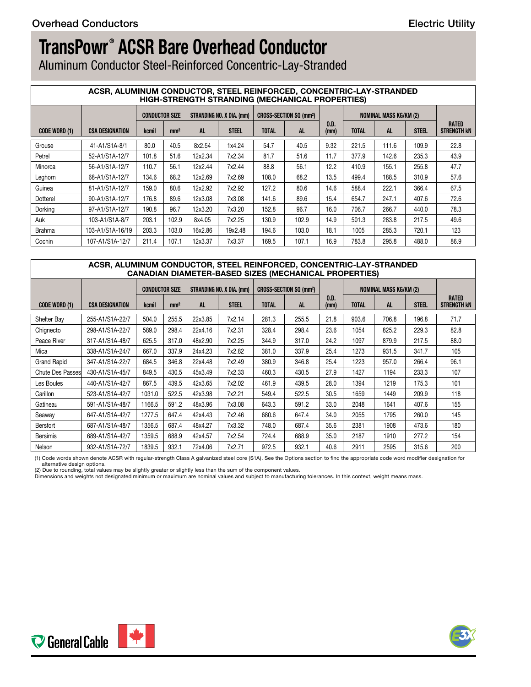Aluminum Conductor Steel-Reinforced Concentric-Lay-Stranded

#### **ACSR, ALUMINUM CONDUCTOR, STEEL REINFORCED, CONCENTRIC-LAY-STRANDED HIGH-STRENGTH STRANDING (MECHANICAL PROPERTIES)**

|               | <b>INGH-STRENGTH STRANDING (MEGHANIGAL FROFERTIES)</b> |       |                 |         |              |              |                                                                                  |              |              |                        |              |                      |
|---------------|--------------------------------------------------------|-------|-----------------|---------|--------------|--------------|----------------------------------------------------------------------------------|--------------|--------------|------------------------|--------------|----------------------|
|               |                                                        |       |                 |         |              |              | CONDUCTOR SIZE   STRANDING NO. X DIA. (mm)   CROSS-SECTION SQ (mm <sup>2</sup> ) |              |              | NOMINAL MASS KG/KM (2) |              |                      |
| CODE WORD (1) | <b>CSA DESIGNATION</b>                                 | kcmil | mm <sup>2</sup> |         | <b>STEEL</b> | <b>TOTAL</b> | <b>AL</b>                                                                        | 0.D.<br>(mm) | <b>TOTAL</b> | <b>AL</b>              | <b>STEEL</b> | RATED<br>STRENGTH KN |
| Grouse        | 41-A1/S1A-8/1                                          | 80.0  | 40.5            | 8x2.54  | 1x4.24       | 54.7         | 40.5                                                                             | 9.32         | 221.5        | 111.6                  | 109.9        | 22.8                 |
| Petrel        | 52-A1/S1A-12/7                                         | 101.8 | 51.6            | 12x2.34 | 7x2.34       | 81.7         | 51.6                                                                             | 11.7         | 377.9        | 142.6                  | 235.3        | 43.9                 |
| Minorca       | 56-A1/S1A-12/7                                         | 110.7 | 56.1            | 12x2.44 | 7x2.44       | 88.8         | 56.1                                                                             | 12.2         | 410.9        | 155.1                  | 255.8        | 47.7                 |
| Leghorn       | 68-A1/S1A-12/7                                         | 134.6 | 68.2            | 12x2.69 | 7x2.69       | 108.0        | 68.2                                                                             | 13.5         | 499.4        | 188.5                  | 310.9        | 57.6                 |
| Guinea        | 81-A1/S1A-12/7                                         | 159.0 | 80.6            | 12x2.92 | 7x2.92       | 127.2        | 80.6                                                                             | 14.6         | 588.4        | 222.1                  | 366.4        | 67.5                 |
| Dotterel      | 90-A1/S1A-12/7                                         | 176.8 | 89.6            | 12x3.08 | 7x3.08       | 141.6        | 89.6                                                                             | 15.4         | 654.7        | 247.1                  | 407.6        | 72.6                 |
| Dorking       | 97-A1/S1A-12/7                                         | 190.8 | 96.7            | 12x3.20 | 7x3.20       | 152.8        | 96.7                                                                             | 16.0         | 706.7        | 266.7                  | 440.0        | 78.3                 |
| Auk           | 103-A1/S1A-8/7                                         | 203.1 | 102.9           | 8x4.05  | 7x2.25       | 130.9        | 102.9                                                                            | 14.9         | 501.3        | 283.8                  | 217.5        | 49.6                 |
| Brahma        | 103-A1/S1A-16/19                                       | 203.3 | 103.0           | 16x2.86 | 19x2.48      | 194.6        | 103.0                                                                            | 18.1         | 1005         | 285.3                  | 720.1        | 123                  |
| Cochin        | 107-A1/S1A-12/7                                        | 211.4 | 107.1           | 12x3.37 | 7x3.37       | 169.5        | 107.1                                                                            | 16.9         | 783.8        | 295.8                  | 488.0        | 86.9                 |

### **ACSR, ALUMINUM CONDUCTOR, STEEL REINFORCED, CONCENTRIC-LAY-STRANDED CANADIAN DIAMETER-BASED SIZES (MECHANICAL PROPERTIES)**

|                    |                        |        |                 |         | CONDUCTOR SIZE   STRANDING NO. X DIA. (mm)   CROSS-SECTION SQ (mm <sup>2</sup> ) |              |       |              |              | NOMINAL MASS KG/KM (2) |              |                                    |
|--------------------|------------------------|--------|-----------------|---------|----------------------------------------------------------------------------------|--------------|-------|--------------|--------------|------------------------|--------------|------------------------------------|
| CODE WORD (1)      | <b>CSA DESIGNATION</b> | kcmil  | mm <sup>2</sup> |         | <b>STEEL</b>                                                                     | <b>TOTAL</b> | AL.   | 0.D.<br>(mm) | <b>TOTAL</b> |                        | <b>STEEL</b> | <b>RATED</b><br><b>STRENGTH KN</b> |
| Shelter Bay        | 255-A1/S1A-22/7        | 504.0  | 255.5           | 22x3.85 | 7x2.14                                                                           | 281.3        | 255.5 | 21.8         | 903.6        | 706.8                  | 196.8        | 71.7                               |
| Chignecto          | 298-A1/S1A-22/7        | 589.0  | 298.4           | 22x4.16 | 7x2.31                                                                           | 328.4        | 298.4 | 23.6         | 1054         | 825.2                  | 229.3        | 82.8                               |
| Peace River        | 317-A1/S1A-48/7        | 625.5  | 317.0           | 48x2.90 | 7x2.25                                                                           | 344.9        | 317.0 | 24.2         | 1097         | 879.9                  | 217.5        | 88.0                               |
| Mica               | 338-A1/S1A-24/7        | 667.0  | 337.9           | 24x4.23 | 7x2.82                                                                           | 381.0        | 337.9 | 25.4         | 1273         | 931.5                  | 341.7        | 105                                |
| <b>Grand Rapid</b> | 347-A1/S1A-22/7        | 684.5  | 346.8           | 22x4.48 | 7x2.49                                                                           | 380.9        | 346.8 | 25.4         | 1223         | 957.0                  | 266.4        | 96.1                               |
| Chute Des Passes   | 430-A1/S1A-45/7        | 849.5  | 430.5           | 45x3.49 | 7x2.33                                                                           | 460.3        | 430.5 | 27.9         | 1427         | 1194                   | 233.3        | 107                                |
| Les Boules         | 440-A1/S1A-42/7        | 867.5  | 439.5           | 42x3.65 | 7x2.02                                                                           | 461.9        | 439.5 | 28.0         | 1394         | 1219                   | 175.3        | 101                                |
| Carillon           | 523-A1/S1A-42/7        | 1031.0 | 522.5           | 42x3.98 | 7x2.21                                                                           | 549.4        | 522.5 | 30.5         | 1659         | 1449                   | 209.9        | 118                                |
| Gatineau           | 591-A1/S1A-48/7        | 1166.5 | 591.2           | 48x3.96 | 7x3.08                                                                           | 643.3        | 591.2 | 33.0         | 2048         | 1641                   | 407.6        | 155                                |
| Seaway             | 647-A1/S1A-42/7        | 1277.5 | 647.4           | 42x4.43 | 7x2.46                                                                           | 680.6        | 647.4 | 34.0         | 2055         | 1795                   | 260.0        | 145                                |
| Bersfort           | 687-A1/S1A-48/7        | 1356.5 | 687.4           | 48x4.27 | 7x3.32                                                                           | 748.0        | 687.4 | 35.6         | 2381         | 1908                   | 473.6        | 180                                |
| Bersimis           | 689-A1/S1A-42/7        | 1359.5 | 688.9           | 42x4.57 | 7x2.54                                                                           | 724.4        | 688.9 | 35.0         | 2187         | 1910                   | 277.2        | 154                                |
| Nelson             | 932-A1/S1A-72/7        | 1839.5 | 932.1           | 72x4.06 | 7x2.71                                                                           | 972.5        | 932.1 | 40.6         | 2911         | 2595                   | 315.6        | 200                                |

(1) Code words shown denote ACSR with regular-strength Class A galvanized steel core (S1A). See the Options section to find the appropriate code word modifier designation for alternative design options.

(2) Due to rounding, total values may be slightly greater or slightly less than the sum of the component values.<br>Dimensions and weights not designated minimum or maximum are nominal values and subject to manufacturing tole